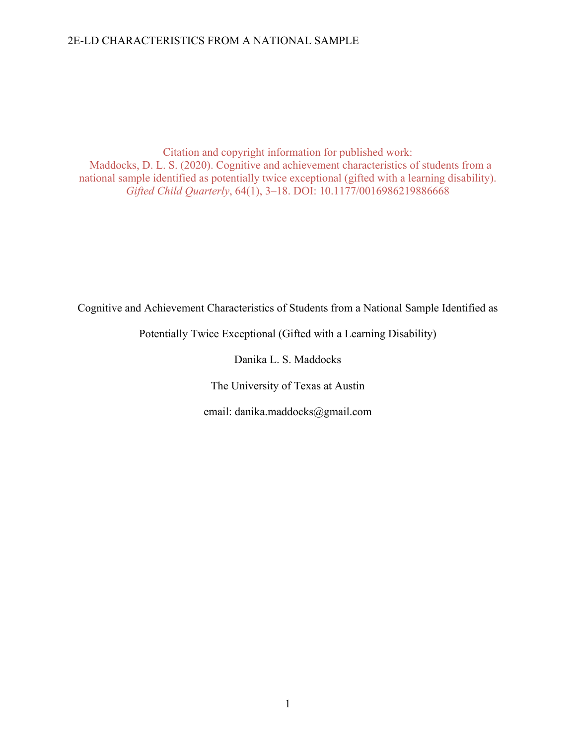Citation and copyright information for published work: Maddocks, D. L. S. (2020). Cognitive and achievement characteristics of students from a national sample identified as potentially twice exceptional (gifted with a learning disability). *Gifted Child Quarterly*, 64(1), 3–18. DOI: 10.1177/0016986219886668

Cognitive and Achievement Characteristics of Students from a National Sample Identified as

Potentially Twice Exceptional (Gifted with a Learning Disability)

Danika L. S. Maddocks

The University of Texas at Austin

email: danika.maddocks@gmail.com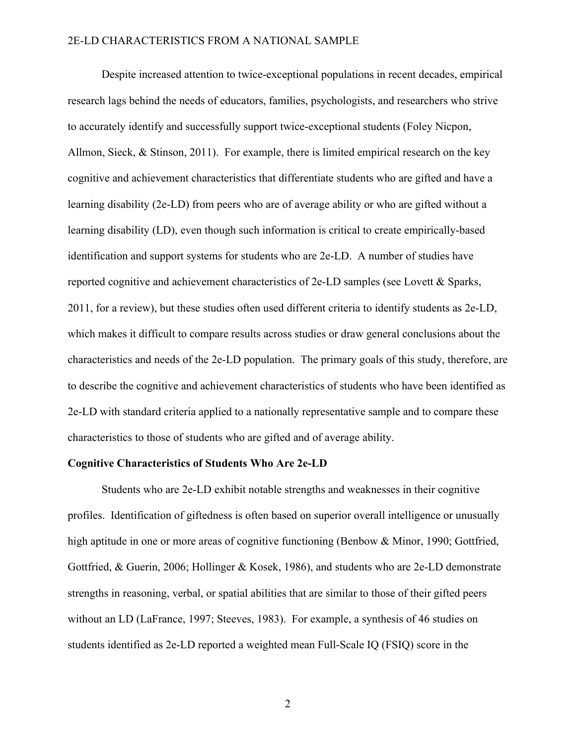Despite increased attention to twice-exceptional populations in recent decades, empirical research lags behind the needs of educators, families, psychologists, and researchers who strive to accurately identify and successfully support twice-exceptional students (Foley Nicpon, Allmon, Sieck, & Stinson, 2011). For example, there is limited empirical research on the key cognitive and achievement characteristics that differentiate students who are gifted and have a learning disability (2e-LD) from peers who are of average ability or who are gifted without a learning disability (LD), even though such information is critical to create empirically-based identification and support systems for students who are 2e-LD. A number of studies have reported cognitive and achievement characteristics of 2e-LD samples (see Lovett & Sparks, 2011, for a review), but these studies often used different criteria to identify students as 2e-LD, which makes it difficult to compare results across studies or draw general conclusions about the characteristics and needs of the 2e-LD population. The primary goals of this study, therefore, are to describe the cognitive and achievement characteristics of students who have been identified as 2e-LD with standard criteria applied to a nationally representative sample and to compare these characteristics to those of students who are gifted and of average ability.

#### **Cognitive Characteristics of Students Who Are 2e-LD**

Students who are 2e-LD exhibit notable strengths and weaknesses in their cognitive profiles. Identification of giftedness is often based on superior overall intelligence or unusually high aptitude in one or more areas of cognitive functioning (Benbow & Minor, 1990; Gottfried, Gottfried, & Guerin, 2006; Hollinger & Kosek, 1986), and students who are 2e-LD demonstrate strengths in reasoning, verbal, or spatial abilities that are similar to those of their gifted peers without an LD (LaFrance, 1997; Steeves, 1983). For example, a synthesis of 46 studies on students identified as 2e-LD reported a weighted mean Full-Scale IQ (FSIQ) score in the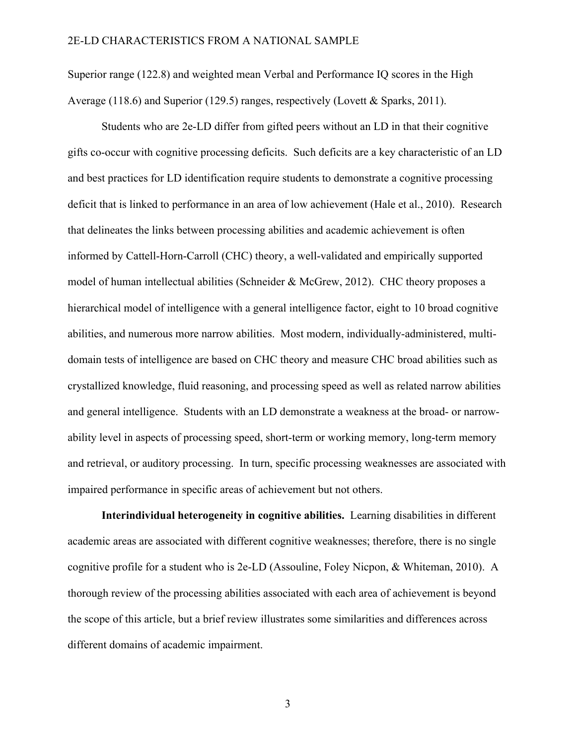Superior range (122.8) and weighted mean Verbal and Performance IQ scores in the High Average (118.6) and Superior (129.5) ranges, respectively (Lovett & Sparks, 2011).

Students who are 2e-LD differ from gifted peers without an LD in that their cognitive gifts co-occur with cognitive processing deficits. Such deficits are a key characteristic of an LD and best practices for LD identification require students to demonstrate a cognitive processing deficit that is linked to performance in an area of low achievement (Hale et al., 2010). Research that delineates the links between processing abilities and academic achievement is often informed by Cattell-Horn-Carroll (CHC) theory, a well-validated and empirically supported model of human intellectual abilities (Schneider & McGrew, 2012). CHC theory proposes a hierarchical model of intelligence with a general intelligence factor, eight to 10 broad cognitive abilities, and numerous more narrow abilities. Most modern, individually-administered, multidomain tests of intelligence are based on CHC theory and measure CHC broad abilities such as crystallized knowledge, fluid reasoning, and processing speed as well as related narrow abilities and general intelligence. Students with an LD demonstrate a weakness at the broad- or narrowability level in aspects of processing speed, short-term or working memory, long-term memory and retrieval, or auditory processing. In turn, specific processing weaknesses are associated with impaired performance in specific areas of achievement but not others.

**Interindividual heterogeneity in cognitive abilities.** Learning disabilities in different academic areas are associated with different cognitive weaknesses; therefore, there is no single cognitive profile for a student who is 2e-LD (Assouline, Foley Nicpon, & Whiteman, 2010). A thorough review of the processing abilities associated with each area of achievement is beyond the scope of this article, but a brief review illustrates some similarities and differences across different domains of academic impairment.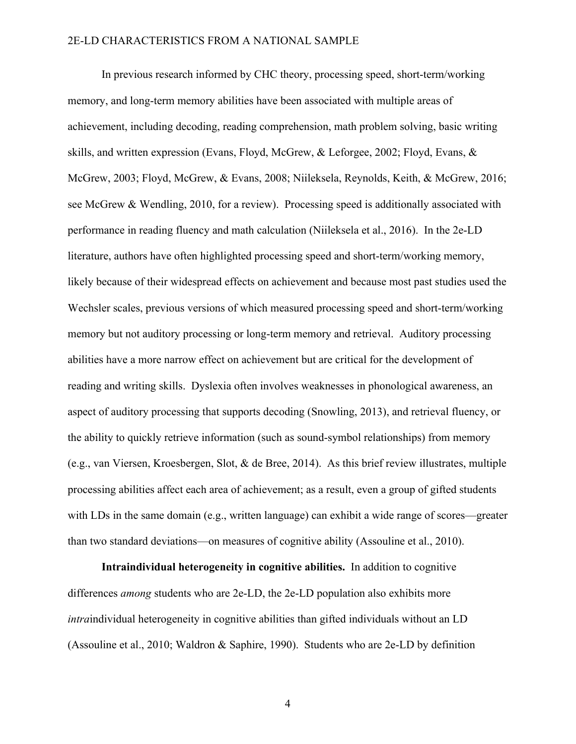In previous research informed by CHC theory, processing speed, short-term/working memory, and long-term memory abilities have been associated with multiple areas of achievement, including decoding, reading comprehension, math problem solving, basic writing skills, and written expression (Evans, Floyd, McGrew, & Leforgee, 2002; Floyd, Evans, & McGrew, 2003; Floyd, McGrew, & Evans, 2008; Niileksela, Reynolds, Keith, & McGrew, 2016; see McGrew & Wendling, 2010, for a review). Processing speed is additionally associated with performance in reading fluency and math calculation (Niileksela et al., 2016). In the 2e-LD literature, authors have often highlighted processing speed and short-term/working memory, likely because of their widespread effects on achievement and because most past studies used the Wechsler scales, previous versions of which measured processing speed and short-term/working memory but not auditory processing or long-term memory and retrieval. Auditory processing abilities have a more narrow effect on achievement but are critical for the development of reading and writing skills. Dyslexia often involves weaknesses in phonological awareness, an aspect of auditory processing that supports decoding (Snowling, 2013), and retrieval fluency, or the ability to quickly retrieve information (such as sound-symbol relationships) from memory (e.g., van Viersen, Kroesbergen, Slot, & de Bree, 2014). As this brief review illustrates, multiple processing abilities affect each area of achievement; as a result, even a group of gifted students with LDs in the same domain (e.g., written language) can exhibit a wide range of scores—greater than two standard deviations—on measures of cognitive ability (Assouline et al., 2010).

**Intraindividual heterogeneity in cognitive abilities.** In addition to cognitive differences *among* students who are 2e-LD, the 2e-LD population also exhibits more *intra*individual heterogeneity in cognitive abilities than gifted individuals without an LD (Assouline et al., 2010; Waldron & Saphire, 1990). Students who are 2e-LD by definition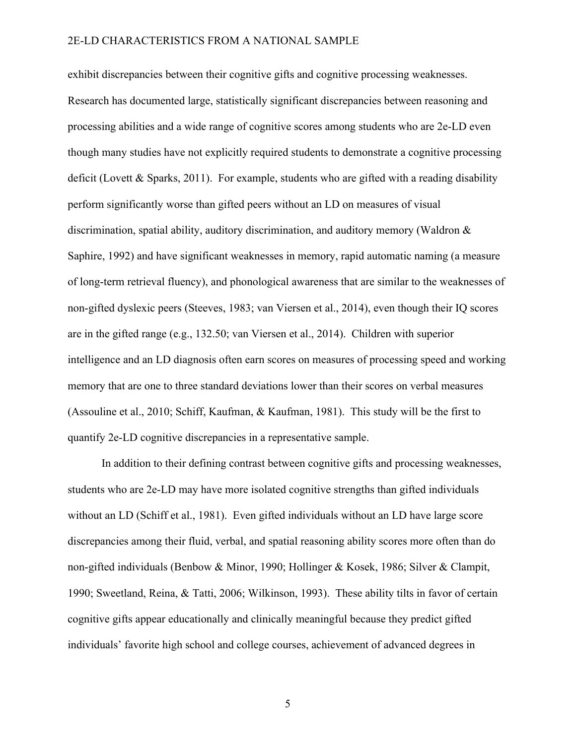exhibit discrepancies between their cognitive gifts and cognitive processing weaknesses. Research has documented large, statistically significant discrepancies between reasoning and processing abilities and a wide range of cognitive scores among students who are 2e-LD even though many studies have not explicitly required students to demonstrate a cognitive processing deficit (Lovett & Sparks, 2011). For example, students who are gifted with a reading disability perform significantly worse than gifted peers without an LD on measures of visual discrimination, spatial ability, auditory discrimination, and auditory memory (Waldron & Saphire, 1992) and have significant weaknesses in memory, rapid automatic naming (a measure of long-term retrieval fluency), and phonological awareness that are similar to the weaknesses of non-gifted dyslexic peers (Steeves, 1983; van Viersen et al., 2014), even though their IQ scores are in the gifted range (e.g., 132.50; van Viersen et al., 2014). Children with superior intelligence and an LD diagnosis often earn scores on measures of processing speed and working memory that are one to three standard deviations lower than their scores on verbal measures (Assouline et al., 2010; Schiff, Kaufman, & Kaufman, 1981). This study will be the first to quantify 2e-LD cognitive discrepancies in a representative sample.

In addition to their defining contrast between cognitive gifts and processing weaknesses, students who are 2e-LD may have more isolated cognitive strengths than gifted individuals without an LD (Schiff et al., 1981). Even gifted individuals without an LD have large score discrepancies among their fluid, verbal, and spatial reasoning ability scores more often than do non-gifted individuals (Benbow & Minor, 1990; Hollinger & Kosek, 1986; Silver & Clampit, 1990; Sweetland, Reina, & Tatti, 2006; Wilkinson, 1993). These ability tilts in favor of certain cognitive gifts appear educationally and clinically meaningful because they predict gifted individuals' favorite high school and college courses, achievement of advanced degrees in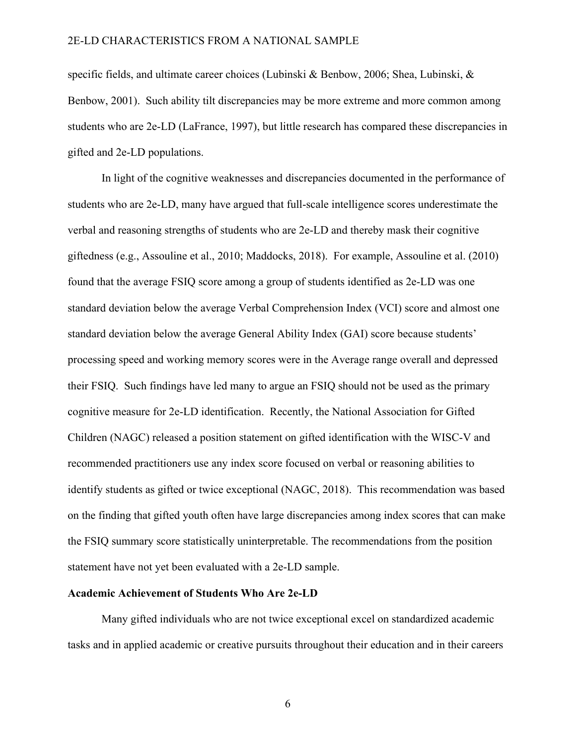specific fields, and ultimate career choices (Lubinski & Benbow, 2006; Shea, Lubinski, & Benbow, 2001). Such ability tilt discrepancies may be more extreme and more common among students who are 2e-LD (LaFrance, 1997), but little research has compared these discrepancies in gifted and 2e-LD populations.

In light of the cognitive weaknesses and discrepancies documented in the performance of students who are 2e-LD, many have argued that full-scale intelligence scores underestimate the verbal and reasoning strengths of students who are 2e-LD and thereby mask their cognitive giftedness (e.g., Assouline et al., 2010; Maddocks, 2018). For example, Assouline et al. (2010) found that the average FSIQ score among a group of students identified as 2e-LD was one standard deviation below the average Verbal Comprehension Index (VCI) score and almost one standard deviation below the average General Ability Index (GAI) score because students' processing speed and working memory scores were in the Average range overall and depressed their FSIQ. Such findings have led many to argue an FSIQ should not be used as the primary cognitive measure for 2e-LD identification. Recently, the National Association for Gifted Children (NAGC) released a position statement on gifted identification with the WISC-V and recommended practitioners use any index score focused on verbal or reasoning abilities to identify students as gifted or twice exceptional (NAGC, 2018). This recommendation was based on the finding that gifted youth often have large discrepancies among index scores that can make the FSIQ summary score statistically uninterpretable. The recommendations from the position statement have not yet been evaluated with a 2e-LD sample.

#### **Academic Achievement of Students Who Are 2e-LD**

Many gifted individuals who are not twice exceptional excel on standardized academic tasks and in applied academic or creative pursuits throughout their education and in their careers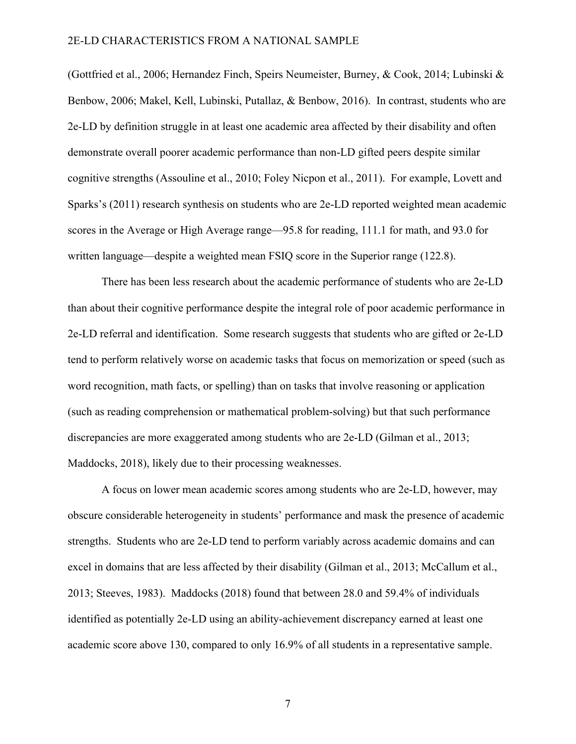(Gottfried et al., 2006; Hernandez Finch, Speirs Neumeister, Burney, & Cook, 2014; Lubinski & Benbow, 2006; Makel, Kell, Lubinski, Putallaz, & Benbow, 2016). In contrast, students who are 2e-LD by definition struggle in at least one academic area affected by their disability and often demonstrate overall poorer academic performance than non-LD gifted peers despite similar cognitive strengths (Assouline et al., 2010; Foley Nicpon et al., 2011). For example, Lovett and Sparks's (2011) research synthesis on students who are 2e-LD reported weighted mean academic scores in the Average or High Average range—95.8 for reading, 111.1 for math, and 93.0 for written language—despite a weighted mean FSIQ score in the Superior range (122.8).

There has been less research about the academic performance of students who are 2e-LD than about their cognitive performance despite the integral role of poor academic performance in 2e-LD referral and identification. Some research suggests that students who are gifted or 2e-LD tend to perform relatively worse on academic tasks that focus on memorization or speed (such as word recognition, math facts, or spelling) than on tasks that involve reasoning or application (such as reading comprehension or mathematical problem-solving) but that such performance discrepancies are more exaggerated among students who are 2e-LD (Gilman et al., 2013; Maddocks, 2018), likely due to their processing weaknesses.

A focus on lower mean academic scores among students who are 2e-LD, however, may obscure considerable heterogeneity in students' performance and mask the presence of academic strengths. Students who are 2e-LD tend to perform variably across academic domains and can excel in domains that are less affected by their disability (Gilman et al., 2013; McCallum et al., 2013; Steeves, 1983). Maddocks (2018) found that between 28.0 and 59.4% of individuals identified as potentially 2e-LD using an ability-achievement discrepancy earned at least one academic score above 130, compared to only 16.9% of all students in a representative sample.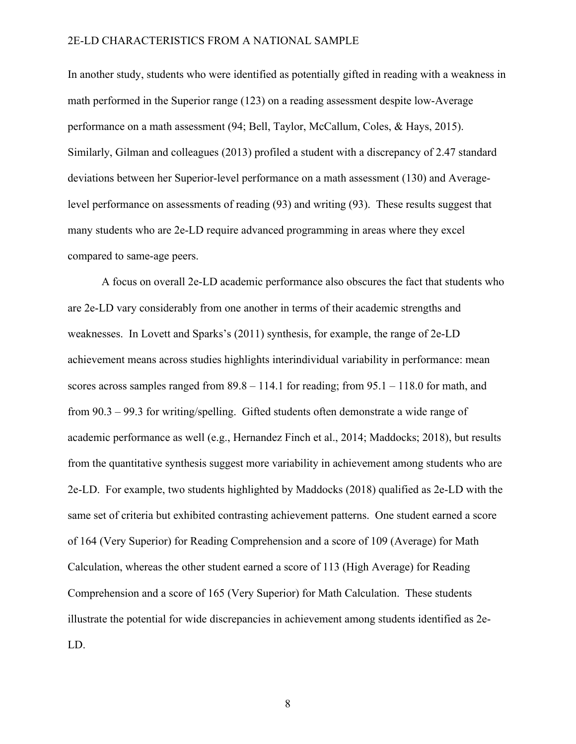In another study, students who were identified as potentially gifted in reading with a weakness in math performed in the Superior range (123) on a reading assessment despite low-Average performance on a math assessment (94; Bell, Taylor, McCallum, Coles, & Hays, 2015). Similarly, Gilman and colleagues (2013) profiled a student with a discrepancy of 2.47 standard deviations between her Superior-level performance on a math assessment (130) and Averagelevel performance on assessments of reading (93) and writing (93). These results suggest that many students who are 2e-LD require advanced programming in areas where they excel compared to same-age peers.

A focus on overall 2e-LD academic performance also obscures the fact that students who are 2e-LD vary considerably from one another in terms of their academic strengths and weaknesses. In Lovett and Sparks's (2011) synthesis, for example, the range of 2e-LD achievement means across studies highlights interindividual variability in performance: mean scores across samples ranged from  $89.8 - 114.1$  for reading; from  $95.1 - 118.0$  for math, and from 90.3 – 99.3 for writing/spelling. Gifted students often demonstrate a wide range of academic performance as well (e.g., Hernandez Finch et al., 2014; Maddocks; 2018), but results from the quantitative synthesis suggest more variability in achievement among students who are 2e-LD. For example, two students highlighted by Maddocks (2018) qualified as 2e-LD with the same set of criteria but exhibited contrasting achievement patterns. One student earned a score of 164 (Very Superior) for Reading Comprehension and a score of 109 (Average) for Math Calculation, whereas the other student earned a score of 113 (High Average) for Reading Comprehension and a score of 165 (Very Superior) for Math Calculation. These students illustrate the potential for wide discrepancies in achievement among students identified as 2e-LD.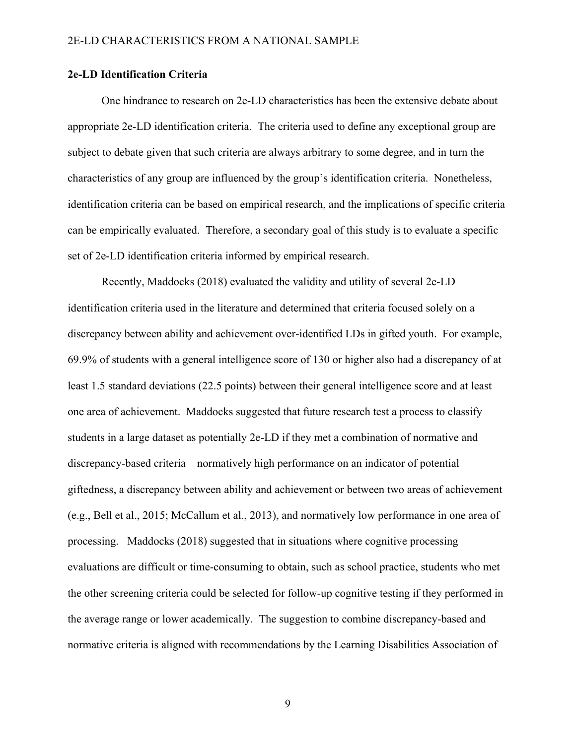## **2e-LD Identification Criteria**

One hindrance to research on 2e-LD characteristics has been the extensive debate about appropriate 2e-LD identification criteria. The criteria used to define any exceptional group are subject to debate given that such criteria are always arbitrary to some degree, and in turn the characteristics of any group are influenced by the group's identification criteria. Nonetheless, identification criteria can be based on empirical research, and the implications of specific criteria can be empirically evaluated. Therefore, a secondary goal of this study is to evaluate a specific set of 2e-LD identification criteria informed by empirical research.

Recently, Maddocks (2018) evaluated the validity and utility of several 2e-LD identification criteria used in the literature and determined that criteria focused solely on a discrepancy between ability and achievement over-identified LDs in gifted youth. For example, 69.9% of students with a general intelligence score of 130 or higher also had a discrepancy of at least 1.5 standard deviations (22.5 points) between their general intelligence score and at least one area of achievement. Maddocks suggested that future research test a process to classify students in a large dataset as potentially 2e-LD if they met a combination of normative and discrepancy-based criteria—normatively high performance on an indicator of potential giftedness, a discrepancy between ability and achievement or between two areas of achievement (e.g., Bell et al., 2015; McCallum et al., 2013), and normatively low performance in one area of processing. Maddocks (2018) suggested that in situations where cognitive processing evaluations are difficult or time-consuming to obtain, such as school practice, students who met the other screening criteria could be selected for follow-up cognitive testing if they performed in the average range or lower academically. The suggestion to combine discrepancy-based and normative criteria is aligned with recommendations by the Learning Disabilities Association of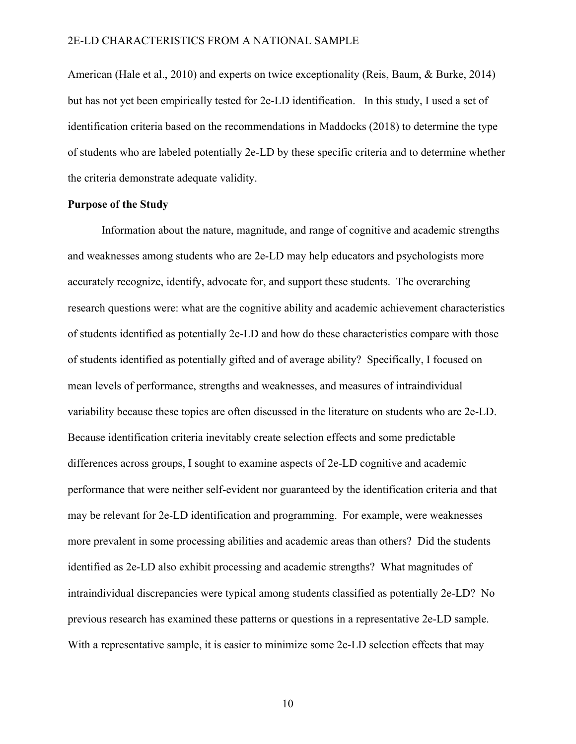American (Hale et al., 2010) and experts on twice exceptionality (Reis, Baum, & Burke, 2014) but has not yet been empirically tested for 2e-LD identification. In this study, I used a set of identification criteria based on the recommendations in Maddocks (2018) to determine the type of students who are labeled potentially 2e-LD by these specific criteria and to determine whether the criteria demonstrate adequate validity.

## **Purpose of the Study**

Information about the nature, magnitude, and range of cognitive and academic strengths and weaknesses among students who are 2e-LD may help educators and psychologists more accurately recognize, identify, advocate for, and support these students. The overarching research questions were: what are the cognitive ability and academic achievement characteristics of students identified as potentially 2e-LD and how do these characteristics compare with those of students identified as potentially gifted and of average ability? Specifically, I focused on mean levels of performance, strengths and weaknesses, and measures of intraindividual variability because these topics are often discussed in the literature on students who are 2e-LD. Because identification criteria inevitably create selection effects and some predictable differences across groups, I sought to examine aspects of 2e-LD cognitive and academic performance that were neither self-evident nor guaranteed by the identification criteria and that may be relevant for 2e-LD identification and programming. For example, were weaknesses more prevalent in some processing abilities and academic areas than others? Did the students identified as 2e-LD also exhibit processing and academic strengths? What magnitudes of intraindividual discrepancies were typical among students classified as potentially 2e-LD? No previous research has examined these patterns or questions in a representative 2e-LD sample. With a representative sample, it is easier to minimize some 2e-LD selection effects that may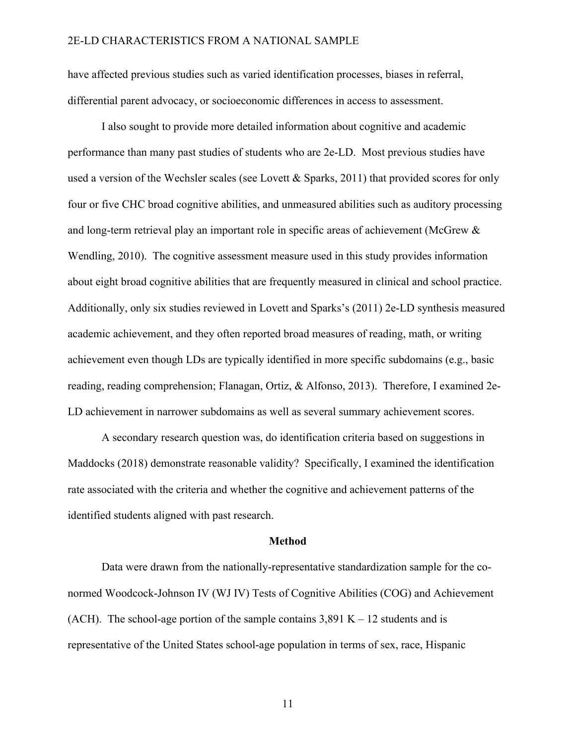have affected previous studies such as varied identification processes, biases in referral, differential parent advocacy, or socioeconomic differences in access to assessment.

I also sought to provide more detailed information about cognitive and academic performance than many past studies of students who are 2e-LD. Most previous studies have used a version of the Wechsler scales (see Lovett & Sparks, 2011) that provided scores for only four or five CHC broad cognitive abilities, and unmeasured abilities such as auditory processing and long-term retrieval play an important role in specific areas of achievement (McGrew & Wendling, 2010). The cognitive assessment measure used in this study provides information about eight broad cognitive abilities that are frequently measured in clinical and school practice. Additionally, only six studies reviewed in Lovett and Sparks's (2011) 2e-LD synthesis measured academic achievement, and they often reported broad measures of reading, math, or writing achievement even though LDs are typically identified in more specific subdomains (e.g., basic reading, reading comprehension; Flanagan, Ortiz, & Alfonso, 2013). Therefore, I examined 2e-LD achievement in narrower subdomains as well as several summary achievement scores.

A secondary research question was, do identification criteria based on suggestions in Maddocks (2018) demonstrate reasonable validity? Specifically, I examined the identification rate associated with the criteria and whether the cognitive and achievement patterns of the identified students aligned with past research.

#### **Method**

Data were drawn from the nationally-representative standardization sample for the conormed Woodcock-Johnson IV (WJ IV) Tests of Cognitive Abilities (COG) and Achievement (ACH). The school-age portion of the sample contains  $3,891$  K – 12 students and is representative of the United States school-age population in terms of sex, race, Hispanic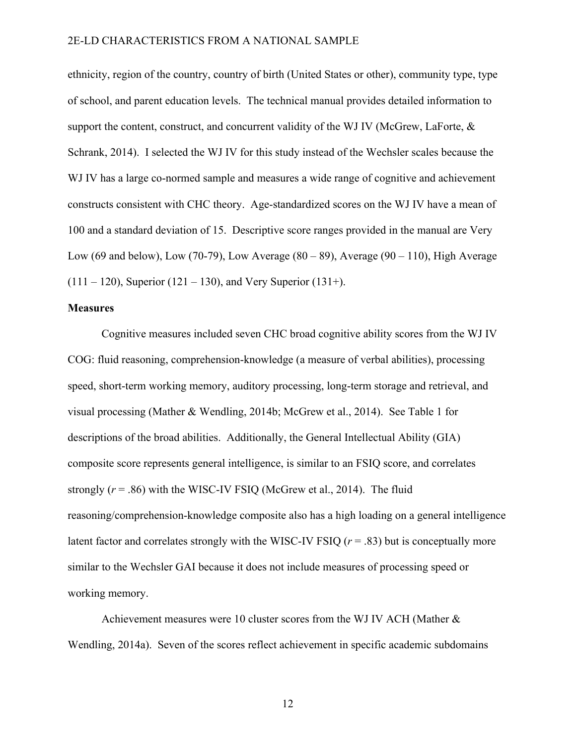ethnicity, region of the country, country of birth (United States or other), community type, type of school, and parent education levels. The technical manual provides detailed information to support the content, construct, and concurrent validity of the WJ IV (McGrew, LaForte,  $\&$ Schrank, 2014). I selected the WJ IV for this study instead of the Wechsler scales because the WJ IV has a large co-normed sample and measures a wide range of cognitive and achievement constructs consistent with CHC theory. Age-standardized scores on the WJ IV have a mean of 100 and a standard deviation of 15. Descriptive score ranges provided in the manual are Very Low (69 and below), Low (70-79), Low Average  $(80 - 89)$ , Average  $(90 - 110)$ , High Average  $(111 – 120)$ , Superior  $(121 – 130)$ , and Very Superior  $(131 +)$ .

## **Measures**

Cognitive measures included seven CHC broad cognitive ability scores from the WJ IV COG: fluid reasoning, comprehension-knowledge (a measure of verbal abilities), processing speed, short-term working memory, auditory processing, long-term storage and retrieval, and visual processing (Mather & Wendling, 2014b; McGrew et al., 2014). See Table 1 for descriptions of the broad abilities. Additionally, the General Intellectual Ability (GIA) composite score represents general intelligence, is similar to an FSIQ score, and correlates strongly  $(r = .86)$  with the WISC-IV FSIQ (McGrew et al., 2014). The fluid reasoning/comprehension-knowledge composite also has a high loading on a general intelligence latent factor and correlates strongly with the WISC-IV FSIQ (*r* = .83) but is conceptually more similar to the Wechsler GAI because it does not include measures of processing speed or working memory.

Achievement measures were 10 cluster scores from the WJ IV ACH (Mather  $\&$ Wendling, 2014a). Seven of the scores reflect achievement in specific academic subdomains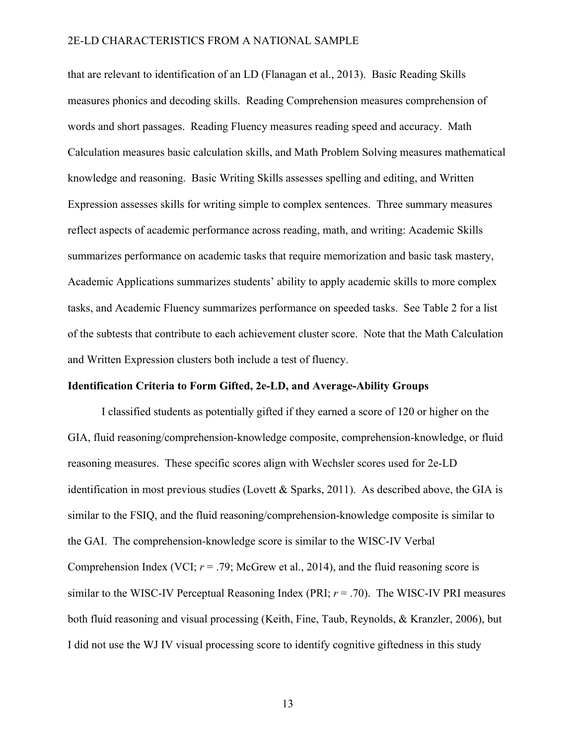that are relevant to identification of an LD (Flanagan et al., 2013). Basic Reading Skills measures phonics and decoding skills. Reading Comprehension measures comprehension of words and short passages. Reading Fluency measures reading speed and accuracy. Math Calculation measures basic calculation skills, and Math Problem Solving measures mathematical knowledge and reasoning. Basic Writing Skills assesses spelling and editing, and Written Expression assesses skills for writing simple to complex sentences. Three summary measures reflect aspects of academic performance across reading, math, and writing: Academic Skills summarizes performance on academic tasks that require memorization and basic task mastery, Academic Applications summarizes students' ability to apply academic skills to more complex tasks, and Academic Fluency summarizes performance on speeded tasks. See Table 2 for a list of the subtests that contribute to each achievement cluster score. Note that the Math Calculation and Written Expression clusters both include a test of fluency.

## **Identification Criteria to Form Gifted, 2e-LD, and Average-Ability Groups**

I classified students as potentially gifted if they earned a score of 120 or higher on the GIA, fluid reasoning/comprehension-knowledge composite, comprehension-knowledge, or fluid reasoning measures. These specific scores align with Wechsler scores used for 2e-LD identification in most previous studies (Lovett & Sparks, 2011). As described above, the GIA is similar to the FSIQ, and the fluid reasoning/comprehension-knowledge composite is similar to the GAI. The comprehension-knowledge score is similar to the WISC-IV Verbal Comprehension Index (VCI;  $r = .79$ ; McGrew et al., 2014), and the fluid reasoning score is similar to the WISC-IV Perceptual Reasoning Index (PRI; *r* = .70). The WISC-IV PRI measures both fluid reasoning and visual processing (Keith, Fine, Taub, Reynolds, & Kranzler, 2006), but I did not use the WJ IV visual processing score to identify cognitive giftedness in this study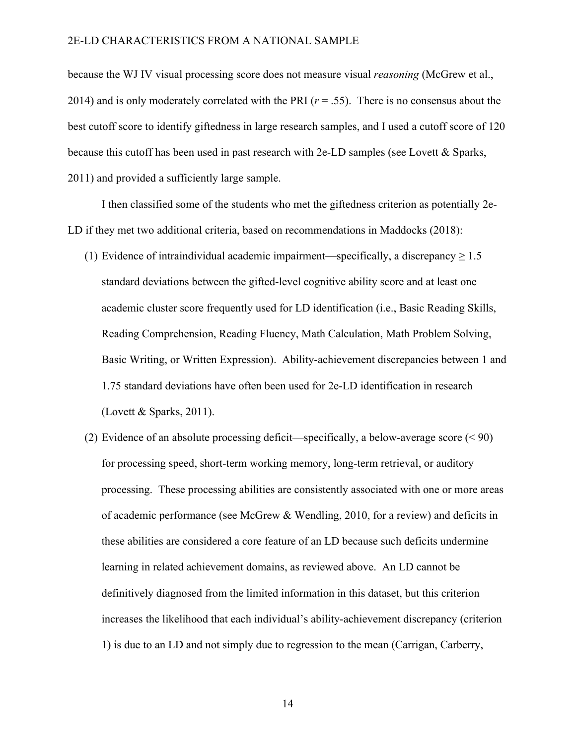because the WJ IV visual processing score does not measure visual *reasoning* (McGrew et al., 2014) and is only moderately correlated with the PRI  $(r = .55)$ . There is no consensus about the best cutoff score to identify giftedness in large research samples, and I used a cutoff score of 120 because this cutoff has been used in past research with 2e-LD samples (see Lovett & Sparks, 2011) and provided a sufficiently large sample.

I then classified some of the students who met the giftedness criterion as potentially 2e-LD if they met two additional criteria, based on recommendations in Maddocks (2018):

- (1) Evidence of intraindividual academic impairment—specifically, a discrepancy  $\geq 1.5$ standard deviations between the gifted-level cognitive ability score and at least one academic cluster score frequently used for LD identification (i.e., Basic Reading Skills, Reading Comprehension, Reading Fluency, Math Calculation, Math Problem Solving, Basic Writing, or Written Expression). Ability-achievement discrepancies between 1 and 1.75 standard deviations have often been used for 2e-LD identification in research (Lovett & Sparks, 2011).
- (2) Evidence of an absolute processing deficit—specifically, a below-average score (< 90) for processing speed, short-term working memory, long-term retrieval, or auditory processing. These processing abilities are consistently associated with one or more areas of academic performance (see McGrew & Wendling, 2010, for a review) and deficits in these abilities are considered a core feature of an LD because such deficits undermine learning in related achievement domains, as reviewed above. An LD cannot be definitively diagnosed from the limited information in this dataset, but this criterion increases the likelihood that each individual's ability-achievement discrepancy (criterion 1) is due to an LD and not simply due to regression to the mean (Carrigan, Carberry,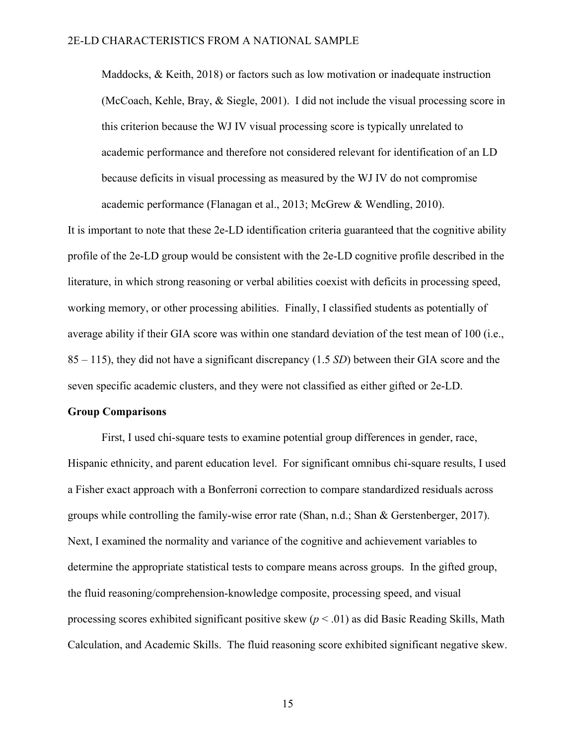Maddocks, & Keith, 2018) or factors such as low motivation or inadequate instruction (McCoach, Kehle, Bray, & Siegle, 2001). I did not include the visual processing score in this criterion because the WJ IV visual processing score is typically unrelated to academic performance and therefore not considered relevant for identification of an LD because deficits in visual processing as measured by the WJ IV do not compromise academic performance (Flanagan et al., 2013; McGrew & Wendling, 2010).

It is important to note that these 2e-LD identification criteria guaranteed that the cognitive ability profile of the 2e-LD group would be consistent with the 2e-LD cognitive profile described in the literature, in which strong reasoning or verbal abilities coexist with deficits in processing speed, working memory, or other processing abilities. Finally, I classified students as potentially of average ability if their GIA score was within one standard deviation of the test mean of 100 (i.e., 85 – 115), they did not have a significant discrepancy (1.5 *SD*) between their GIA score and the seven specific academic clusters, and they were not classified as either gifted or 2e-LD.

#### **Group Comparisons**

First, I used chi-square tests to examine potential group differences in gender, race, Hispanic ethnicity, and parent education level. For significant omnibus chi-square results, I used a Fisher exact approach with a Bonferroni correction to compare standardized residuals across groups while controlling the family-wise error rate (Shan, n.d.; Shan & Gerstenberger, 2017). Next, I examined the normality and variance of the cognitive and achievement variables to determine the appropriate statistical tests to compare means across groups. In the gifted group, the fluid reasoning/comprehension-knowledge composite, processing speed, and visual processing scores exhibited significant positive skew (*p* < .01) as did Basic Reading Skills, Math Calculation, and Academic Skills. The fluid reasoning score exhibited significant negative skew.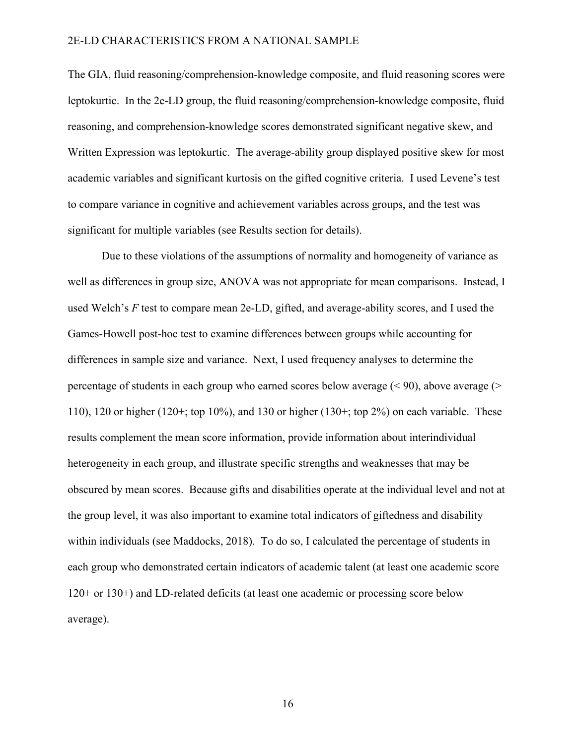The GIA, fluid reasoning/comprehension-knowledge composite, and fluid reasoning scores were leptokurtic. In the 2e-LD group, the fluid reasoning/comprehension-knowledge composite, fluid reasoning, and comprehension-knowledge scores demonstrated significant negative skew, and Written Expression was leptokurtic. The average-ability group displayed positive skew for most academic variables and significant kurtosis on the gifted cognitive criteria. I used Levene's test to compare variance in cognitive and achievement variables across groups, and the test was significant for multiple variables (see Results section for details).

Due to these violations of the assumptions of normality and homogeneity of variance as well as differences in group size, ANOVA was not appropriate for mean comparisons. Instead, I used Welch's *F* test to compare mean 2e-LD, gifted, and average-ability scores, and I used the Games-Howell post-hoc test to examine differences between groups while accounting for differences in sample size and variance. Next, I used frequency analyses to determine the percentage of students in each group who earned scores below average  $($  < 90), above average  $($ 110), 120 or higher (120+; top 10%), and 130 or higher (130+; top 2%) on each variable. These results complement the mean score information, provide information about interindividual heterogeneity in each group, and illustrate specific strengths and weaknesses that may be obscured by mean scores. Because gifts and disabilities operate at the individual level and not at the group level, it was also important to examine total indicators of giftedness and disability within individuals (see Maddocks, 2018). To do so, I calculated the percentage of students in each group who demonstrated certain indicators of academic talent (at least one academic score 120+ or 130+) and LD-related deficits (at least one academic or processing score below average).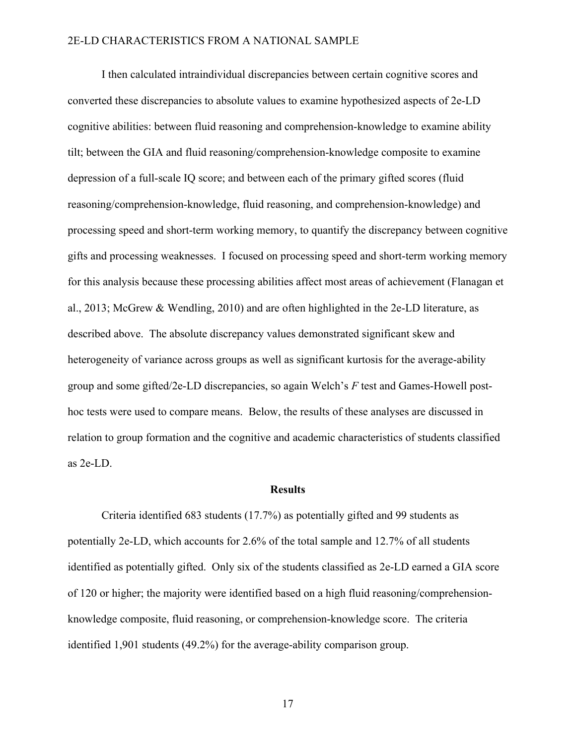I then calculated intraindividual discrepancies between certain cognitive scores and converted these discrepancies to absolute values to examine hypothesized aspects of 2e-LD cognitive abilities: between fluid reasoning and comprehension-knowledge to examine ability tilt; between the GIA and fluid reasoning/comprehension-knowledge composite to examine depression of a full-scale IQ score; and between each of the primary gifted scores (fluid reasoning/comprehension-knowledge, fluid reasoning, and comprehension-knowledge) and processing speed and short-term working memory, to quantify the discrepancy between cognitive gifts and processing weaknesses. I focused on processing speed and short-term working memory for this analysis because these processing abilities affect most areas of achievement (Flanagan et al., 2013; McGrew & Wendling, 2010) and are often highlighted in the 2e-LD literature, as described above. The absolute discrepancy values demonstrated significant skew and heterogeneity of variance across groups as well as significant kurtosis for the average-ability group and some gifted/2e-LD discrepancies, so again Welch's *F* test and Games-Howell posthoc tests were used to compare means. Below, the results of these analyses are discussed in relation to group formation and the cognitive and academic characteristics of students classified as 2e-LD.

#### **Results**

Criteria identified 683 students (17.7%) as potentially gifted and 99 students as potentially 2e-LD, which accounts for 2.6% of the total sample and 12.7% of all students identified as potentially gifted. Only six of the students classified as 2e-LD earned a GIA score of 120 or higher; the majority were identified based on a high fluid reasoning/comprehensionknowledge composite, fluid reasoning, or comprehension-knowledge score. The criteria identified 1,901 students (49.2%) for the average-ability comparison group.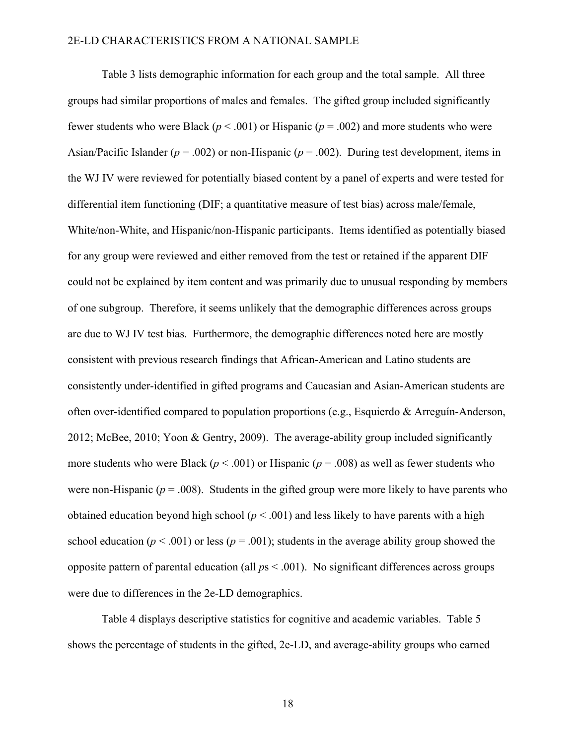Table 3 lists demographic information for each group and the total sample. All three groups had similar proportions of males and females. The gifted group included significantly fewer students who were Black ( $p < .001$ ) or Hispanic ( $p = .002$ ) and more students who were Asian/Pacific Islander (*p* = .002) or non-Hispanic (*p* = .002). During test development, items in the WJ IV were reviewed for potentially biased content by a panel of experts and were tested for differential item functioning (DIF; a quantitative measure of test bias) across male/female, White/non-White, and Hispanic/non-Hispanic participants. Items identified as potentially biased for any group were reviewed and either removed from the test or retained if the apparent DIF could not be explained by item content and was primarily due to unusual responding by members of one subgroup. Therefore, it seems unlikely that the demographic differences across groups are due to WJ IV test bias. Furthermore, the demographic differences noted here are mostly consistent with previous research findings that African-American and Latino students are consistently under-identified in gifted programs and Caucasian and Asian-American students are often over-identified compared to population proportions (e.g., Esquierdo & Arreguín-Anderson, 2012; McBee, 2010; Yoon & Gentry, 2009). The average-ability group included significantly more students who were Black (*p* < .001) or Hispanic (*p* = .008) as well as fewer students who were non-Hispanic ( $p = .008$ ). Students in the gifted group were more likely to have parents who obtained education beyond high school  $(p < .001)$  and less likely to have parents with a high school education ( $p < .001$ ) or less ( $p = .001$ ); students in the average ability group showed the opposite pattern of parental education (all *p*s < .001). No significant differences across groups were due to differences in the 2e-LD demographics.

Table 4 displays descriptive statistics for cognitive and academic variables. Table 5 shows the percentage of students in the gifted, 2e-LD, and average-ability groups who earned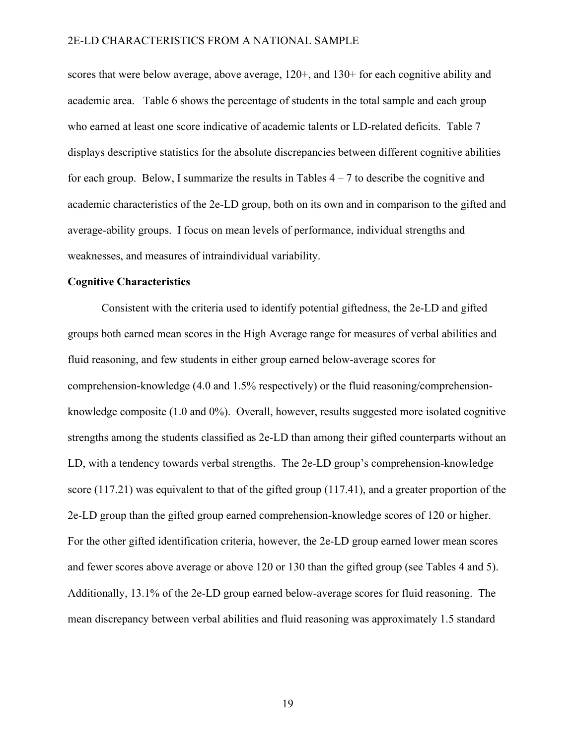scores that were below average, above average, 120+, and 130+ for each cognitive ability and academic area. Table 6 shows the percentage of students in the total sample and each group who earned at least one score indicative of academic talents or LD-related deficits. Table 7 displays descriptive statistics for the absolute discrepancies between different cognitive abilities for each group. Below, I summarize the results in Tables  $4 - 7$  to describe the cognitive and academic characteristics of the 2e-LD group, both on its own and in comparison to the gifted and average-ability groups. I focus on mean levels of performance, individual strengths and weaknesses, and measures of intraindividual variability.

## **Cognitive Characteristics**

Consistent with the criteria used to identify potential giftedness, the 2e-LD and gifted groups both earned mean scores in the High Average range for measures of verbal abilities and fluid reasoning, and few students in either group earned below-average scores for comprehension-knowledge (4.0 and 1.5% respectively) or the fluid reasoning/comprehensionknowledge composite (1.0 and 0%). Overall, however, results suggested more isolated cognitive strengths among the students classified as 2e-LD than among their gifted counterparts without an LD, with a tendency towards verbal strengths. The 2e-LD group's comprehension-knowledge score (117.21) was equivalent to that of the gifted group (117.41), and a greater proportion of the 2e-LD group than the gifted group earned comprehension-knowledge scores of 120 or higher. For the other gifted identification criteria, however, the 2e-LD group earned lower mean scores and fewer scores above average or above 120 or 130 than the gifted group (see Tables 4 and 5). Additionally, 13.1% of the 2e-LD group earned below-average scores for fluid reasoning. The mean discrepancy between verbal abilities and fluid reasoning was approximately 1.5 standard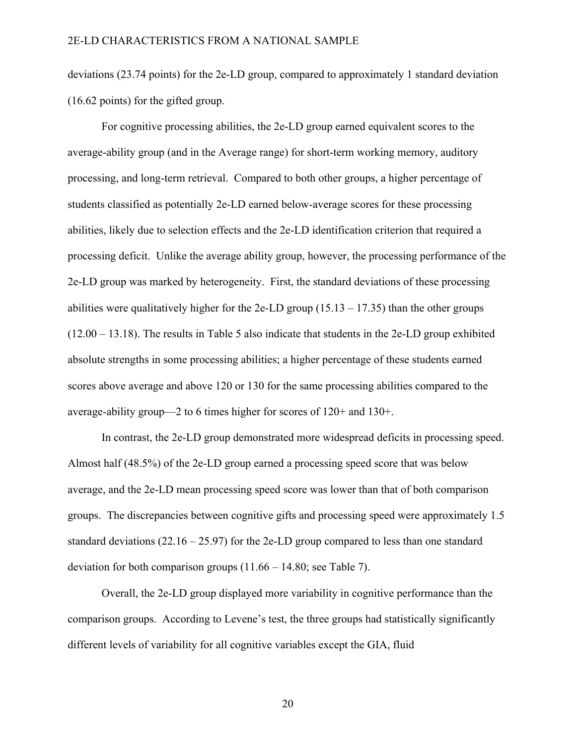deviations (23.74 points) for the 2e-LD group, compared to approximately 1 standard deviation (16.62 points) for the gifted group.

For cognitive processing abilities, the 2e-LD group earned equivalent scores to the average-ability group (and in the Average range) for short-term working memory, auditory processing, and long-term retrieval. Compared to both other groups, a higher percentage of students classified as potentially 2e-LD earned below-average scores for these processing abilities, likely due to selection effects and the 2e-LD identification criterion that required a processing deficit. Unlike the average ability group, however, the processing performance of the 2e-LD group was marked by heterogeneity. First, the standard deviations of these processing abilities were qualitatively higher for the 2e-LD group  $(15.13 - 17.35)$  than the other groups (12.00 – 13.18). The results in Table 5 also indicate that students in the 2e-LD group exhibited absolute strengths in some processing abilities; a higher percentage of these students earned scores above average and above 120 or 130 for the same processing abilities compared to the average-ability group—2 to 6 times higher for scores of 120+ and 130+.

In contrast, the 2e-LD group demonstrated more widespread deficits in processing speed. Almost half (48.5%) of the 2e-LD group earned a processing speed score that was below average, and the 2e-LD mean processing speed score was lower than that of both comparison groups. The discrepancies between cognitive gifts and processing speed were approximately 1.5 standard deviations  $(22.16 - 25.97)$  for the 2e-LD group compared to less than one standard deviation for both comparison groups  $(11.66 - 14.80)$ ; see Table 7).

Overall, the 2e-LD group displayed more variability in cognitive performance than the comparison groups. According to Levene's test, the three groups had statistically significantly different levels of variability for all cognitive variables except the GIA, fluid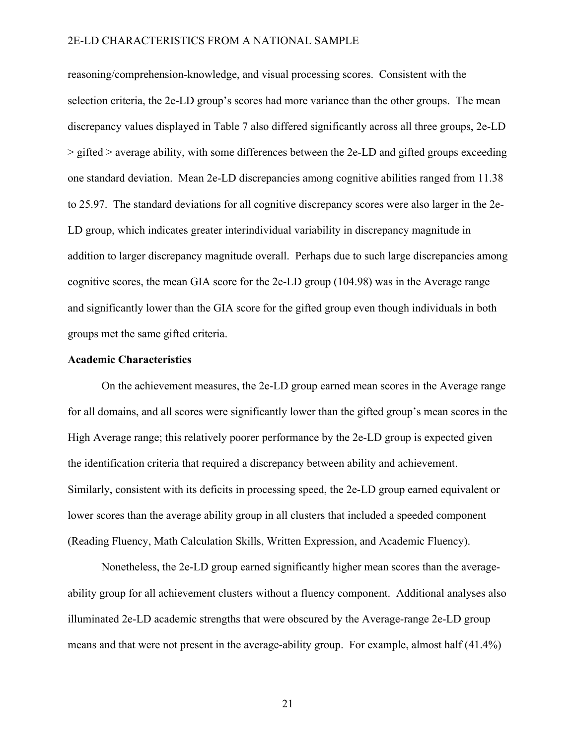reasoning/comprehension-knowledge, and visual processing scores. Consistent with the selection criteria, the 2e-LD group's scores had more variance than the other groups. The mean discrepancy values displayed in Table 7 also differed significantly across all three groups, 2e-LD > gifted > average ability, with some differences between the 2e-LD and gifted groups exceeding one standard deviation. Mean 2e-LD discrepancies among cognitive abilities ranged from 11.38 to 25.97. The standard deviations for all cognitive discrepancy scores were also larger in the 2e-LD group, which indicates greater interindividual variability in discrepancy magnitude in addition to larger discrepancy magnitude overall. Perhaps due to such large discrepancies among cognitive scores, the mean GIA score for the 2e-LD group (104.98) was in the Average range and significantly lower than the GIA score for the gifted group even though individuals in both groups met the same gifted criteria.

## **Academic Characteristics**

On the achievement measures, the 2e-LD group earned mean scores in the Average range for all domains, and all scores were significantly lower than the gifted group's mean scores in the High Average range; this relatively poorer performance by the 2e-LD group is expected given the identification criteria that required a discrepancy between ability and achievement. Similarly, consistent with its deficits in processing speed, the 2e-LD group earned equivalent or lower scores than the average ability group in all clusters that included a speeded component (Reading Fluency, Math Calculation Skills, Written Expression, and Academic Fluency).

Nonetheless, the 2e-LD group earned significantly higher mean scores than the averageability group for all achievement clusters without a fluency component. Additional analyses also illuminated 2e-LD academic strengths that were obscured by the Average-range 2e-LD group means and that were not present in the average-ability group. For example, almost half (41.4%)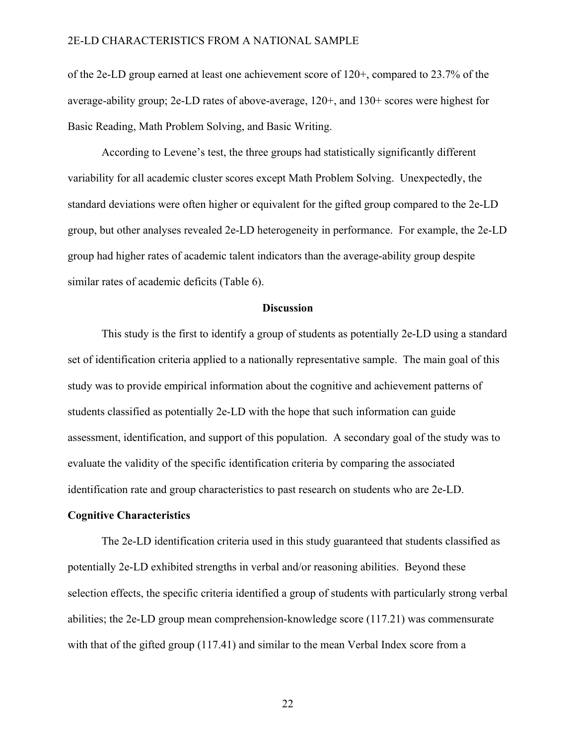of the 2e-LD group earned at least one achievement score of 120+, compared to 23.7% of the average-ability group; 2e-LD rates of above-average, 120+, and 130+ scores were highest for Basic Reading, Math Problem Solving, and Basic Writing.

According to Levene's test, the three groups had statistically significantly different variability for all academic cluster scores except Math Problem Solving. Unexpectedly, the standard deviations were often higher or equivalent for the gifted group compared to the 2e-LD group, but other analyses revealed 2e-LD heterogeneity in performance. For example, the 2e-LD group had higher rates of academic talent indicators than the average-ability group despite similar rates of academic deficits (Table 6).

## **Discussion**

This study is the first to identify a group of students as potentially 2e-LD using a standard set of identification criteria applied to a nationally representative sample. The main goal of this study was to provide empirical information about the cognitive and achievement patterns of students classified as potentially 2e-LD with the hope that such information can guide assessment, identification, and support of this population. A secondary goal of the study was to evaluate the validity of the specific identification criteria by comparing the associated identification rate and group characteristics to past research on students who are 2e-LD.

## **Cognitive Characteristics**

The 2e-LD identification criteria used in this study guaranteed that students classified as potentially 2e-LD exhibited strengths in verbal and/or reasoning abilities. Beyond these selection effects, the specific criteria identified a group of students with particularly strong verbal abilities; the 2e-LD group mean comprehension-knowledge score (117.21) was commensurate with that of the gifted group (117.41) and similar to the mean Verbal Index score from a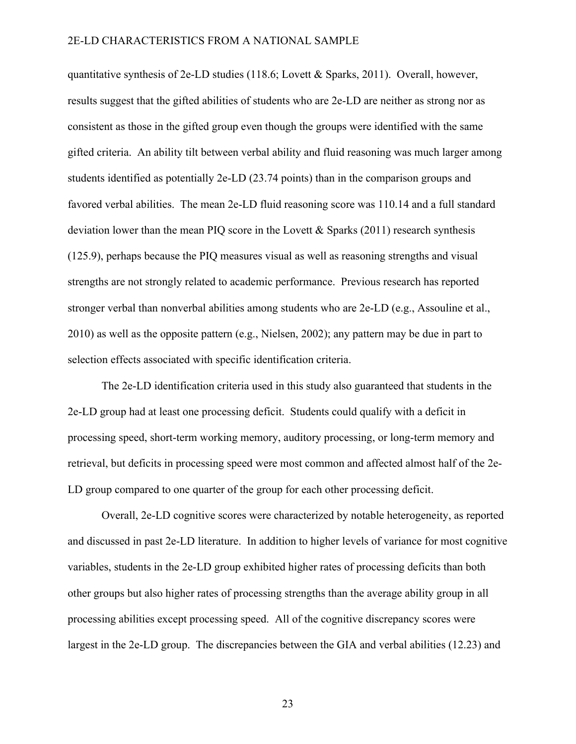quantitative synthesis of 2e-LD studies (118.6; Lovett & Sparks, 2011). Overall, however, results suggest that the gifted abilities of students who are 2e-LD are neither as strong nor as consistent as those in the gifted group even though the groups were identified with the same gifted criteria. An ability tilt between verbal ability and fluid reasoning was much larger among students identified as potentially 2e-LD (23.74 points) than in the comparison groups and favored verbal abilities. The mean 2e-LD fluid reasoning score was 110.14 and a full standard deviation lower than the mean PIQ score in the Lovett  $\&$  Sparks (2011) research synthesis (125.9), perhaps because the PIQ measures visual as well as reasoning strengths and visual strengths are not strongly related to academic performance. Previous research has reported stronger verbal than nonverbal abilities among students who are 2e-LD (e.g., Assouline et al., 2010) as well as the opposite pattern (e.g., Nielsen, 2002); any pattern may be due in part to selection effects associated with specific identification criteria.

The 2e-LD identification criteria used in this study also guaranteed that students in the 2e-LD group had at least one processing deficit. Students could qualify with a deficit in processing speed, short-term working memory, auditory processing, or long-term memory and retrieval, but deficits in processing speed were most common and affected almost half of the 2e-LD group compared to one quarter of the group for each other processing deficit.

Overall, 2e-LD cognitive scores were characterized by notable heterogeneity, as reported and discussed in past 2e-LD literature. In addition to higher levels of variance for most cognitive variables, students in the 2e-LD group exhibited higher rates of processing deficits than both other groups but also higher rates of processing strengths than the average ability group in all processing abilities except processing speed. All of the cognitive discrepancy scores were largest in the 2e-LD group. The discrepancies between the GIA and verbal abilities (12.23) and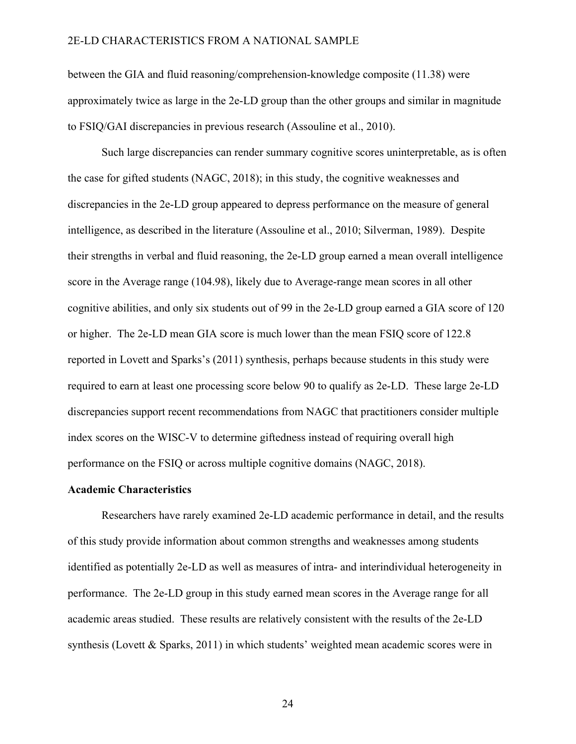between the GIA and fluid reasoning/comprehension-knowledge composite (11.38) were approximately twice as large in the 2e-LD group than the other groups and similar in magnitude to FSIQ/GAI discrepancies in previous research (Assouline et al., 2010).

Such large discrepancies can render summary cognitive scores uninterpretable, as is often the case for gifted students (NAGC, 2018); in this study, the cognitive weaknesses and discrepancies in the 2e-LD group appeared to depress performance on the measure of general intelligence, as described in the literature (Assouline et al., 2010; Silverman, 1989). Despite their strengths in verbal and fluid reasoning, the 2e-LD group earned a mean overall intelligence score in the Average range (104.98), likely due to Average-range mean scores in all other cognitive abilities, and only six students out of 99 in the 2e-LD group earned a GIA score of 120 or higher. The 2e-LD mean GIA score is much lower than the mean FSIQ score of 122.8 reported in Lovett and Sparks's (2011) synthesis, perhaps because students in this study were required to earn at least one processing score below 90 to qualify as 2e-LD. These large 2e-LD discrepancies support recent recommendations from NAGC that practitioners consider multiple index scores on the WISC-V to determine giftedness instead of requiring overall high performance on the FSIQ or across multiple cognitive domains (NAGC, 2018).

#### **Academic Characteristics**

Researchers have rarely examined 2e-LD academic performance in detail, and the results of this study provide information about common strengths and weaknesses among students identified as potentially 2e-LD as well as measures of intra- and interindividual heterogeneity in performance. The 2e-LD group in this study earned mean scores in the Average range for all academic areas studied. These results are relatively consistent with the results of the 2e-LD synthesis (Lovett & Sparks, 2011) in which students' weighted mean academic scores were in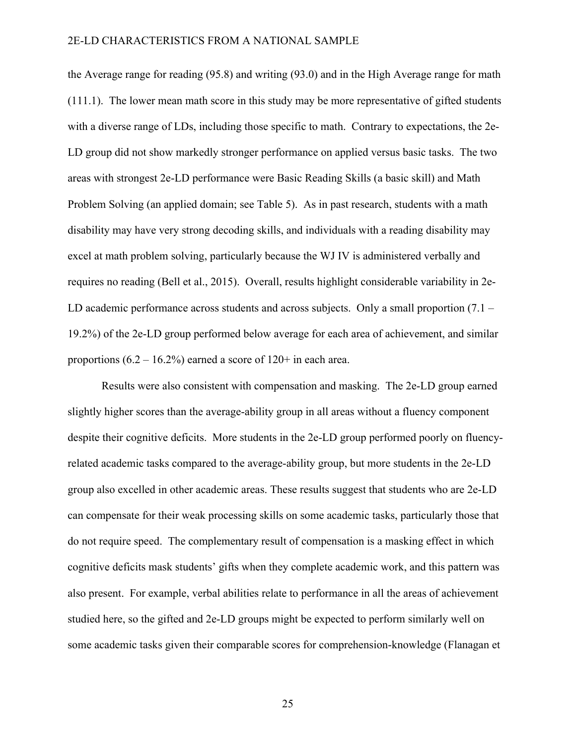the Average range for reading (95.8) and writing (93.0) and in the High Average range for math (111.1). The lower mean math score in this study may be more representative of gifted students with a diverse range of LDs, including those specific to math. Contrary to expectations, the 2e-LD group did not show markedly stronger performance on applied versus basic tasks. The two areas with strongest 2e-LD performance were Basic Reading Skills (a basic skill) and Math Problem Solving (an applied domain; see Table 5). As in past research, students with a math disability may have very strong decoding skills, and individuals with a reading disability may excel at math problem solving, particularly because the WJ IV is administered verbally and requires no reading (Bell et al., 2015). Overall, results highlight considerable variability in 2e-LD academic performance across students and across subjects. Only a small proportion (7.1 – 19.2%) of the 2e-LD group performed below average for each area of achievement, and similar proportions  $(6.2 - 16.2\%)$  earned a score of  $120+$  in each area.

Results were also consistent with compensation and masking. The 2e-LD group earned slightly higher scores than the average-ability group in all areas without a fluency component despite their cognitive deficits. More students in the 2e-LD group performed poorly on fluencyrelated academic tasks compared to the average-ability group, but more students in the 2e-LD group also excelled in other academic areas. These results suggest that students who are 2e-LD can compensate for their weak processing skills on some academic tasks, particularly those that do not require speed. The complementary result of compensation is a masking effect in which cognitive deficits mask students' gifts when they complete academic work, and this pattern was also present. For example, verbal abilities relate to performance in all the areas of achievement studied here, so the gifted and 2e-LD groups might be expected to perform similarly well on some academic tasks given their comparable scores for comprehension-knowledge (Flanagan et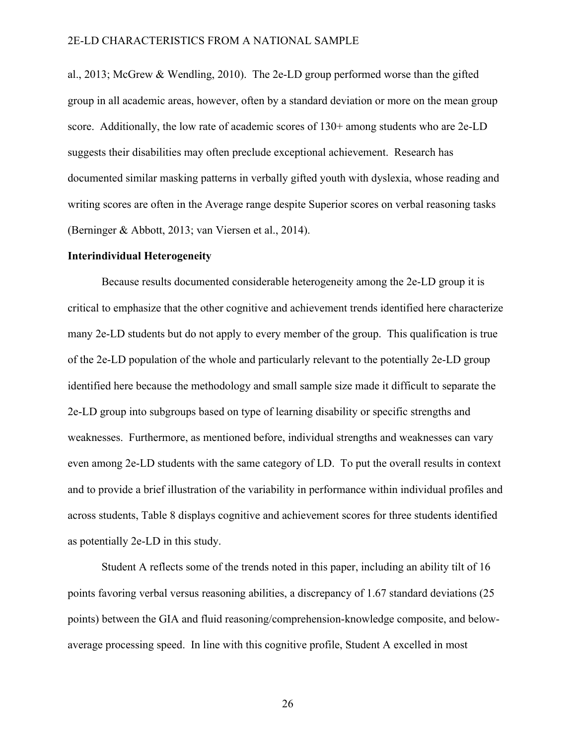al., 2013; McGrew & Wendling, 2010). The 2e-LD group performed worse than the gifted group in all academic areas, however, often by a standard deviation or more on the mean group score. Additionally, the low rate of academic scores of 130+ among students who are 2e-LD suggests their disabilities may often preclude exceptional achievement. Research has documented similar masking patterns in verbally gifted youth with dyslexia, whose reading and writing scores are often in the Average range despite Superior scores on verbal reasoning tasks (Berninger & Abbott, 2013; van Viersen et al., 2014).

#### **Interindividual Heterogeneity**

Because results documented considerable heterogeneity among the 2e-LD group it is critical to emphasize that the other cognitive and achievement trends identified here characterize many 2e-LD students but do not apply to every member of the group. This qualification is true of the 2e-LD population of the whole and particularly relevant to the potentially 2e-LD group identified here because the methodology and small sample size made it difficult to separate the 2e-LD group into subgroups based on type of learning disability or specific strengths and weaknesses. Furthermore, as mentioned before, individual strengths and weaknesses can vary even among 2e-LD students with the same category of LD. To put the overall results in context and to provide a brief illustration of the variability in performance within individual profiles and across students, Table 8 displays cognitive and achievement scores for three students identified as potentially 2e-LD in this study.

Student A reflects some of the trends noted in this paper, including an ability tilt of 16 points favoring verbal versus reasoning abilities, a discrepancy of 1.67 standard deviations (25 points) between the GIA and fluid reasoning/comprehension-knowledge composite, and belowaverage processing speed. In line with this cognitive profile, Student A excelled in most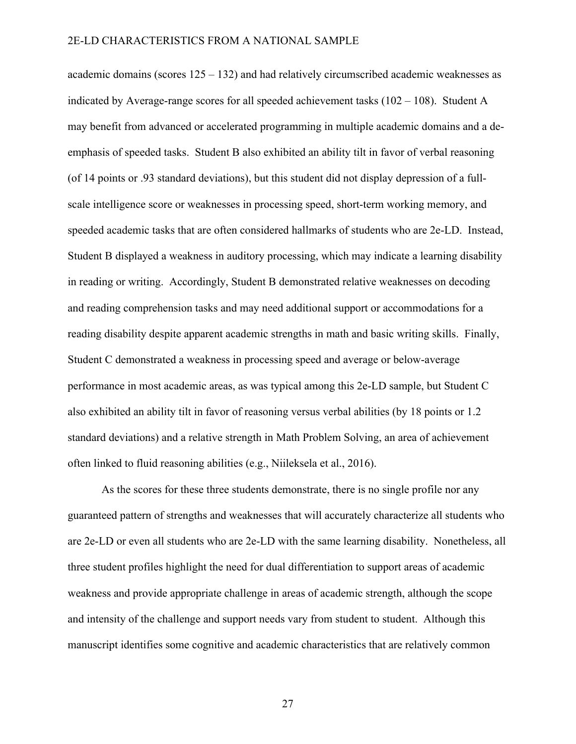academic domains (scores 125 – 132) and had relatively circumscribed academic weaknesses as indicated by Average-range scores for all speeded achievement tasks  $(102 - 108)$ . Student A may benefit from advanced or accelerated programming in multiple academic domains and a deemphasis of speeded tasks. Student B also exhibited an ability tilt in favor of verbal reasoning (of 14 points or .93 standard deviations), but this student did not display depression of a fullscale intelligence score or weaknesses in processing speed, short-term working memory, and speeded academic tasks that are often considered hallmarks of students who are 2e-LD. Instead, Student B displayed a weakness in auditory processing, which may indicate a learning disability in reading or writing. Accordingly, Student B demonstrated relative weaknesses on decoding and reading comprehension tasks and may need additional support or accommodations for a reading disability despite apparent academic strengths in math and basic writing skills. Finally, Student C demonstrated a weakness in processing speed and average or below-average performance in most academic areas, as was typical among this 2e-LD sample, but Student C also exhibited an ability tilt in favor of reasoning versus verbal abilities (by 18 points or 1.2 standard deviations) and a relative strength in Math Problem Solving, an area of achievement often linked to fluid reasoning abilities (e.g., Niileksela et al., 2016).

As the scores for these three students demonstrate, there is no single profile nor any guaranteed pattern of strengths and weaknesses that will accurately characterize all students who are 2e-LD or even all students who are 2e-LD with the same learning disability. Nonetheless, all three student profiles highlight the need for dual differentiation to support areas of academic weakness and provide appropriate challenge in areas of academic strength, although the scope and intensity of the challenge and support needs vary from student to student. Although this manuscript identifies some cognitive and academic characteristics that are relatively common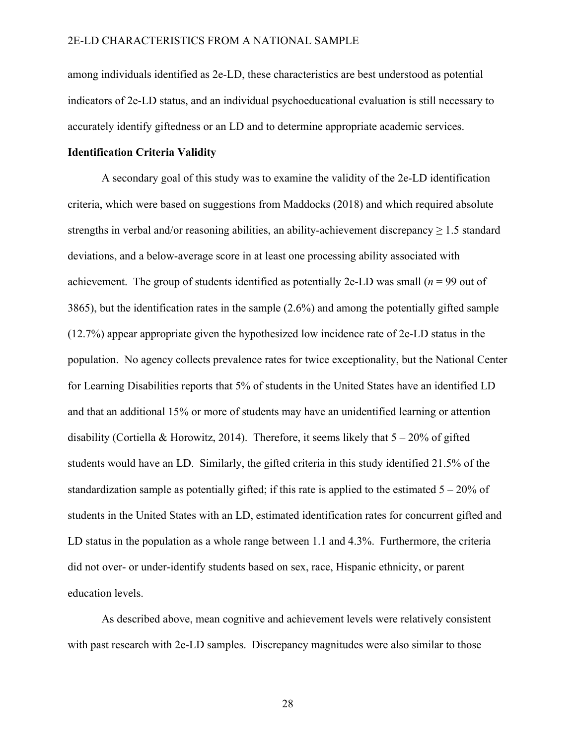among individuals identified as 2e-LD, these characteristics are best understood as potential indicators of 2e-LD status, and an individual psychoeducational evaluation is still necessary to accurately identify giftedness or an LD and to determine appropriate academic services.

## **Identification Criteria Validity**

A secondary goal of this study was to examine the validity of the 2e-LD identification criteria, which were based on suggestions from Maddocks (2018) and which required absolute strengths in verbal and/or reasoning abilities, an ability-achievement discrepancy  $\geq 1.5$  standard deviations, and a below-average score in at least one processing ability associated with achievement. The group of students identified as potentially 2e-LD was small  $(n = 99)$  out of 3865), but the identification rates in the sample (2.6%) and among the potentially gifted sample (12.7%) appear appropriate given the hypothesized low incidence rate of 2e-LD status in the population. No agency collects prevalence rates for twice exceptionality, but the National Center for Learning Disabilities reports that 5% of students in the United States have an identified LD and that an additional 15% or more of students may have an unidentified learning or attention disability (Cortiella & Horowitz, 2014). Therefore, it seems likely that  $5 - 20\%$  of gifted students would have an LD. Similarly, the gifted criteria in this study identified 21.5% of the standardization sample as potentially gifted; if this rate is applied to the estimated  $5 - 20\%$  of students in the United States with an LD, estimated identification rates for concurrent gifted and LD status in the population as a whole range between 1.1 and 4.3%. Furthermore, the criteria did not over- or under-identify students based on sex, race, Hispanic ethnicity, or parent education levels.

As described above, mean cognitive and achievement levels were relatively consistent with past research with 2e-LD samples. Discrepancy magnitudes were also similar to those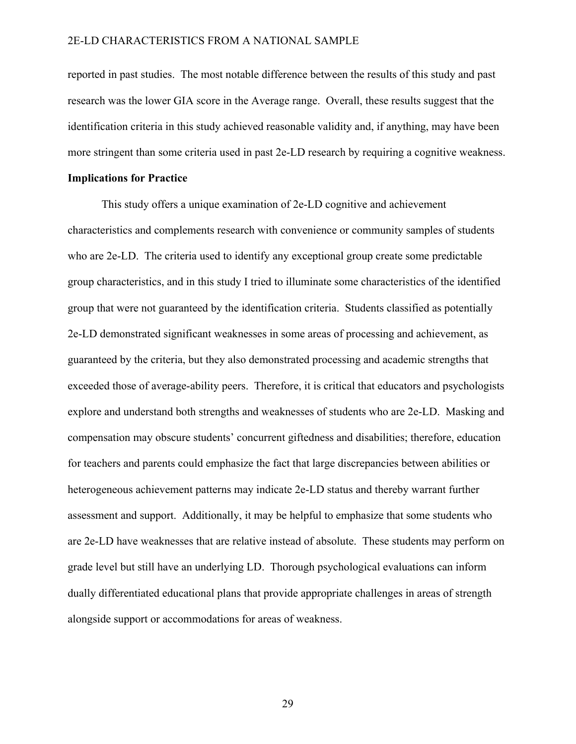reported in past studies. The most notable difference between the results of this study and past research was the lower GIA score in the Average range. Overall, these results suggest that the identification criteria in this study achieved reasonable validity and, if anything, may have been more stringent than some criteria used in past 2e-LD research by requiring a cognitive weakness.

### **Implications for Practice**

This study offers a unique examination of 2e-LD cognitive and achievement characteristics and complements research with convenience or community samples of students who are 2e-LD. The criteria used to identify any exceptional group create some predictable group characteristics, and in this study I tried to illuminate some characteristics of the identified group that were not guaranteed by the identification criteria. Students classified as potentially 2e-LD demonstrated significant weaknesses in some areas of processing and achievement, as guaranteed by the criteria, but they also demonstrated processing and academic strengths that exceeded those of average-ability peers. Therefore, it is critical that educators and psychologists explore and understand both strengths and weaknesses of students who are 2e-LD. Masking and compensation may obscure students' concurrent giftedness and disabilities; therefore, education for teachers and parents could emphasize the fact that large discrepancies between abilities or heterogeneous achievement patterns may indicate 2e-LD status and thereby warrant further assessment and support. Additionally, it may be helpful to emphasize that some students who are 2e-LD have weaknesses that are relative instead of absolute. These students may perform on grade level but still have an underlying LD. Thorough psychological evaluations can inform dually differentiated educational plans that provide appropriate challenges in areas of strength alongside support or accommodations for areas of weakness.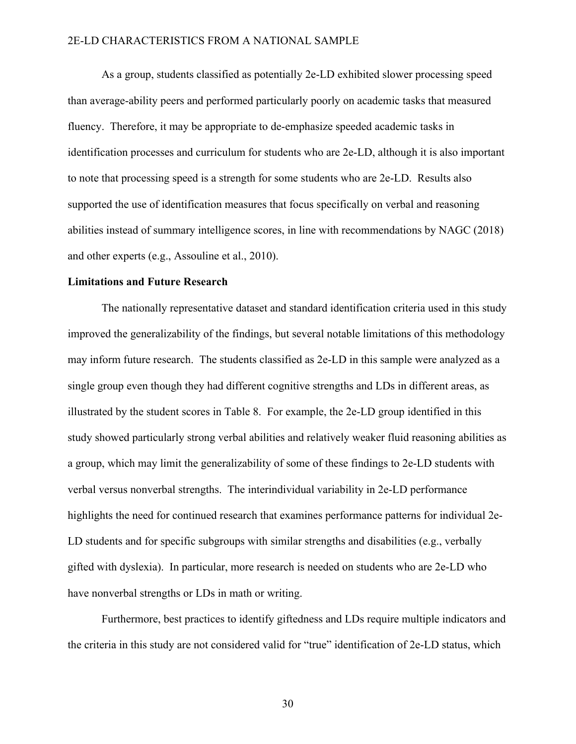As a group, students classified as potentially 2e-LD exhibited slower processing speed than average-ability peers and performed particularly poorly on academic tasks that measured fluency. Therefore, it may be appropriate to de-emphasize speeded academic tasks in identification processes and curriculum for students who are 2e-LD, although it is also important to note that processing speed is a strength for some students who are 2e-LD. Results also supported the use of identification measures that focus specifically on verbal and reasoning abilities instead of summary intelligence scores, in line with recommendations by NAGC (2018) and other experts (e.g., Assouline et al., 2010).

## **Limitations and Future Research**

The nationally representative dataset and standard identification criteria used in this study improved the generalizability of the findings, but several notable limitations of this methodology may inform future research. The students classified as 2e-LD in this sample were analyzed as a single group even though they had different cognitive strengths and LDs in different areas, as illustrated by the student scores in Table 8. For example, the 2e-LD group identified in this study showed particularly strong verbal abilities and relatively weaker fluid reasoning abilities as a group, which may limit the generalizability of some of these findings to 2e-LD students with verbal versus nonverbal strengths. The interindividual variability in 2e-LD performance highlights the need for continued research that examines performance patterns for individual 2e-LD students and for specific subgroups with similar strengths and disabilities (e.g., verbally gifted with dyslexia). In particular, more research is needed on students who are 2e-LD who have nonverbal strengths or LDs in math or writing.

Furthermore, best practices to identify giftedness and LDs require multiple indicators and the criteria in this study are not considered valid for "true" identification of 2e-LD status, which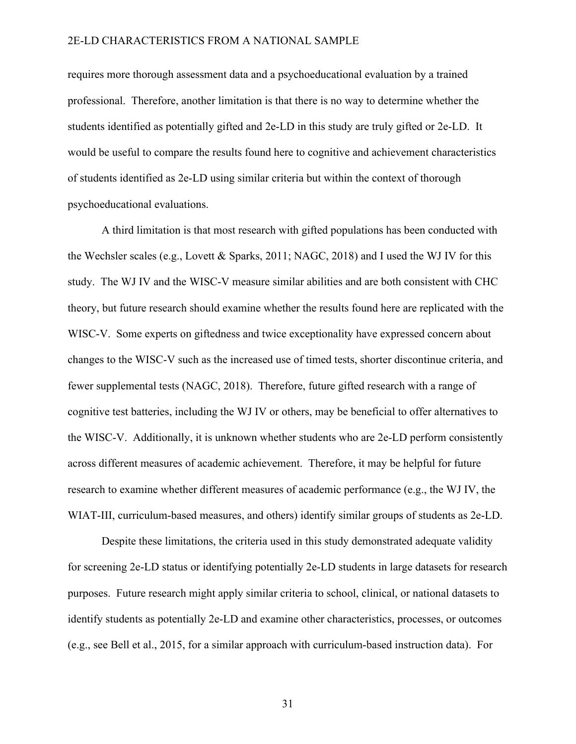requires more thorough assessment data and a psychoeducational evaluation by a trained professional. Therefore, another limitation is that there is no way to determine whether the students identified as potentially gifted and 2e-LD in this study are truly gifted or 2e-LD. It would be useful to compare the results found here to cognitive and achievement characteristics of students identified as 2e-LD using similar criteria but within the context of thorough psychoeducational evaluations.

A third limitation is that most research with gifted populations has been conducted with the Wechsler scales (e.g., Lovett & Sparks, 2011; NAGC, 2018) and I used the WJ IV for this study. The WJ IV and the WISC-V measure similar abilities and are both consistent with CHC theory, but future research should examine whether the results found here are replicated with the WISC-V. Some experts on giftedness and twice exceptionality have expressed concern about changes to the WISC-V such as the increased use of timed tests, shorter discontinue criteria, and fewer supplemental tests (NAGC, 2018). Therefore, future gifted research with a range of cognitive test batteries, including the WJ IV or others, may be beneficial to offer alternatives to the WISC-V. Additionally, it is unknown whether students who are 2e-LD perform consistently across different measures of academic achievement. Therefore, it may be helpful for future research to examine whether different measures of academic performance (e.g., the WJ IV, the WIAT-III, curriculum-based measures, and others) identify similar groups of students as 2e-LD.

Despite these limitations, the criteria used in this study demonstrated adequate validity for screening 2e-LD status or identifying potentially 2e-LD students in large datasets for research purposes. Future research might apply similar criteria to school, clinical, or national datasets to identify students as potentially 2e-LD and examine other characteristics, processes, or outcomes (e.g., see Bell et al., 2015, for a similar approach with curriculum-based instruction data). For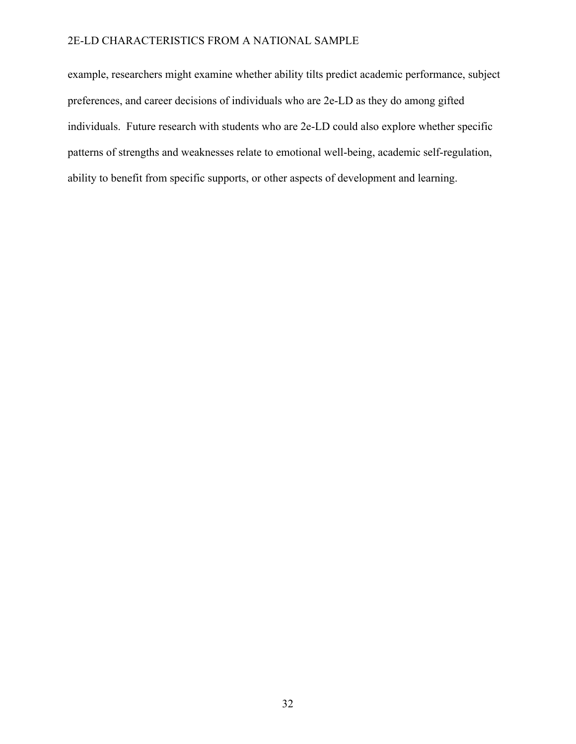example, researchers might examine whether ability tilts predict academic performance, subject preferences, and career decisions of individuals who are 2e-LD as they do among gifted individuals. Future research with students who are 2e-LD could also explore whether specific patterns of strengths and weaknesses relate to emotional well-being, academic self-regulation, ability to benefit from specific supports, or other aspects of development and learning.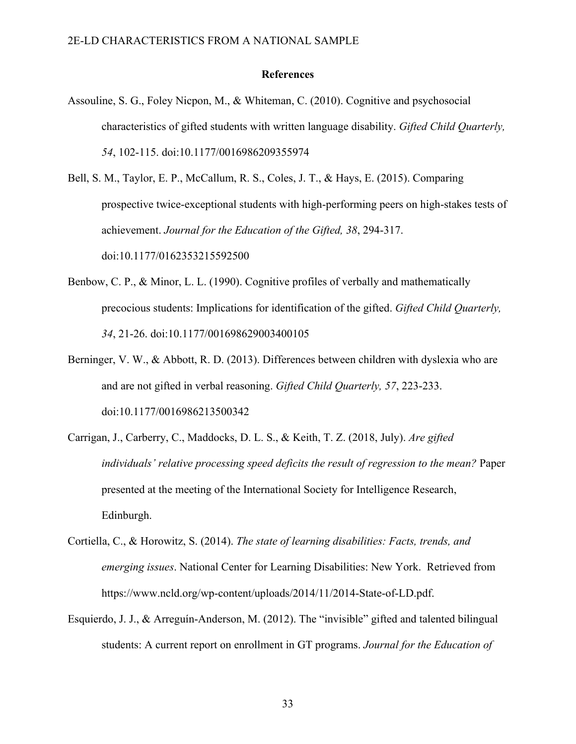#### **References**

- Assouline, S. G., Foley Nicpon, M., & Whiteman, C. (2010). Cognitive and psychosocial characteristics of gifted students with written language disability. *Gifted Child Quarterly, 54*, 102-115. doi:10.1177/0016986209355974
- Bell, S. M., Taylor, E. P., McCallum, R. S., Coles, J. T., & Hays, E. (2015). Comparing prospective twice-exceptional students with high-performing peers on high-stakes tests of achievement. *Journal for the Education of the Gifted, 38*, 294-317. doi:10.1177/0162353215592500
- Benbow, C. P., & Minor, L. L. (1990). Cognitive profiles of verbally and mathematically precocious students: Implications for identification of the gifted. *Gifted Child Quarterly, 34*, 21-26. doi:10.1177/001698629003400105
- Berninger, V. W., & Abbott, R. D. (2013). Differences between children with dyslexia who are and are not gifted in verbal reasoning. *Gifted Child Quarterly, 57*, 223-233. doi:10.1177/0016986213500342
- Carrigan, J., Carberry, C., Maddocks, D. L. S., & Keith, T. Z. (2018, July). *Are gifted individuals' relative processing speed deficits the result of regression to the mean?* Paper presented at the meeting of the International Society for Intelligence Research, Edinburgh.
- Cortiella, C., & Horowitz, S. (2014). *The state of learning disabilities: Facts, trends, and emerging issues*. National Center for Learning Disabilities: New York. Retrieved from https://www.ncld.org/wp-content/uploads/2014/11/2014-State-of-LD.pdf.
- Esquierdo, J. J., & Arreguín-Anderson, M. (2012). The "invisible" gifted and talented bilingual students: A current report on enrollment in GT programs. *Journal for the Education of*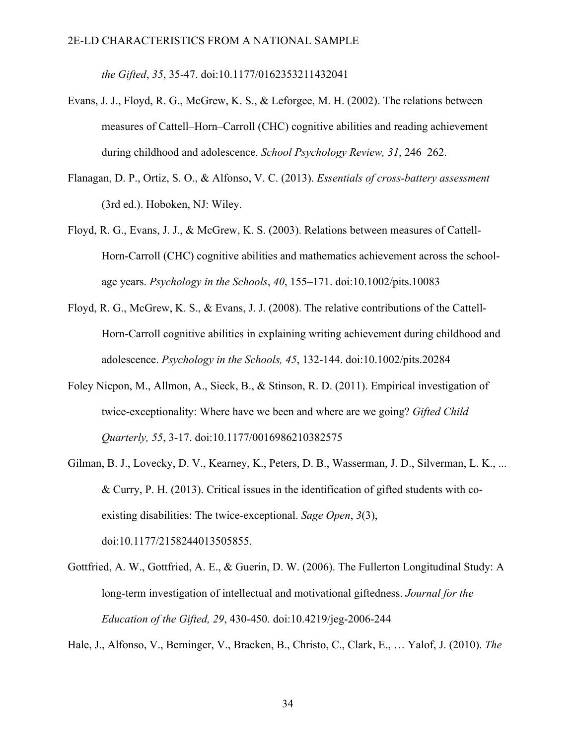*the Gifted*, *35*, 35-47. doi:10.1177/0162353211432041

- Evans, J. J., Floyd, R. G., McGrew, K. S., & Leforgee, M. H. (2002). The relations between measures of Cattell–Horn–Carroll (CHC) cognitive abilities and reading achievement during childhood and adolescence. *School Psychology Review, 31*, 246–262.
- Flanagan, D. P., Ortiz, S. O., & Alfonso, V. C. (2013). *Essentials of cross-battery assessment* (3rd ed.). Hoboken, NJ: Wiley.
- Floyd, R. G., Evans, J. J., & McGrew, K. S. (2003). Relations between measures of Cattell-Horn-Carroll (CHC) cognitive abilities and mathematics achievement across the schoolage years. *Psychology in the Schools*, *40*, 155–171. doi:10.1002/pits.10083
- Floyd, R. G., McGrew, K. S., & Evans, J. J. (2008). The relative contributions of the Cattell-Horn-Carroll cognitive abilities in explaining writing achievement during childhood and adolescence. *Psychology in the Schools, 45*, 132-144. doi:10.1002/pits.20284
- Foley Nicpon, M., Allmon, A., Sieck, B., & Stinson, R. D. (2011). Empirical investigation of twice-exceptionality: Where have we been and where are we going? *Gifted Child Quarterly, 55*, 3-17. doi:10.1177/0016986210382575
- Gilman, B. J., Lovecky, D. V., Kearney, K., Peters, D. B., Wasserman, J. D., Silverman, L. K., ... & Curry, P. H. (2013). Critical issues in the identification of gifted students with coexisting disabilities: The twice-exceptional. *Sage Open*, *3*(3), doi:10.1177/2158244013505855.
- Gottfried, A. W., Gottfried, A. E., & Guerin, D. W. (2006). The Fullerton Longitudinal Study: A long-term investigation of intellectual and motivational giftedness. *Journal for the Education of the Gifted, 29*, 430-450. doi:10.4219/jeg-2006-244

Hale, J., Alfonso, V., Berninger, V., Bracken, B., Christo, C., Clark, E., … Yalof, J. (2010). *The*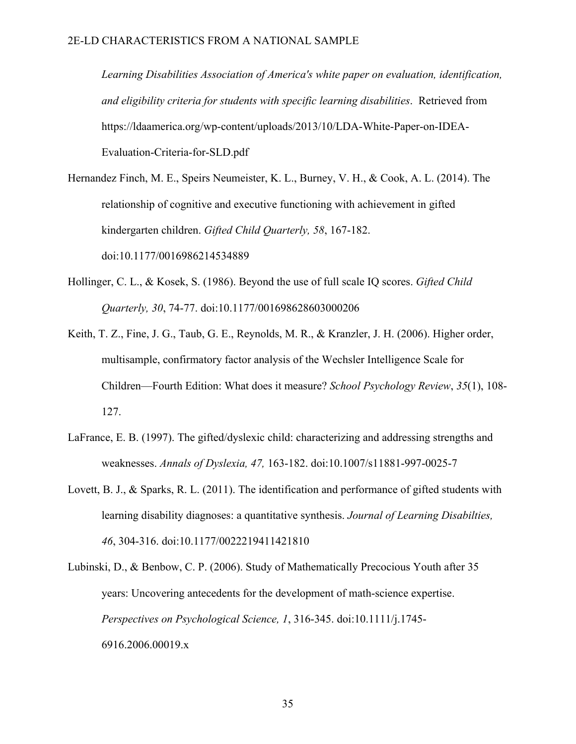*Learning Disabilities Association of America's white paper on evaluation, identification, and eligibility criteria for students with specific learning disabilities*. Retrieved from https://ldaamerica.org/wp-content/uploads/2013/10/LDA-White-Paper-on-IDEA-Evaluation-Criteria-for-SLD.pdf

- Hernandez Finch, M. E., Speirs Neumeister, K. L., Burney, V. H., & Cook, A. L. (2014). The relationship of cognitive and executive functioning with achievement in gifted kindergarten children. *Gifted Child Quarterly, 58*, 167-182. doi:10.1177/0016986214534889
- Hollinger, C. L., & Kosek, S. (1986). Beyond the use of full scale IQ scores. *Gifted Child Quarterly, 30*, 74-77. doi:10.1177/001698628603000206
- Keith, T. Z., Fine, J. G., Taub, G. E., Reynolds, M. R., & Kranzler, J. H. (2006). Higher order, multisample, confirmatory factor analysis of the Wechsler Intelligence Scale for Children—Fourth Edition: What does it measure? *School Psychology Review*, *35*(1), 108- 127.
- LaFrance, E. B. (1997). The gifted/dyslexic child: characterizing and addressing strengths and weaknesses. *Annals of Dyslexia, 47,* 163-182. doi:10.1007/s11881-997-0025-7
- Lovett, B. J., & Sparks, R. L. (2011). The identification and performance of gifted students with learning disability diagnoses: a quantitative synthesis. *Journal of Learning Disabilties, 46*, 304-316. doi:10.1177/0022219411421810

Lubinski, D., & Benbow, C. P. (2006). Study of Mathematically Precocious Youth after 35 years: Uncovering antecedents for the development of math-science expertise. *Perspectives on Psychological Science, 1*, 316-345. doi:10.1111/j.1745- 6916.2006.00019.x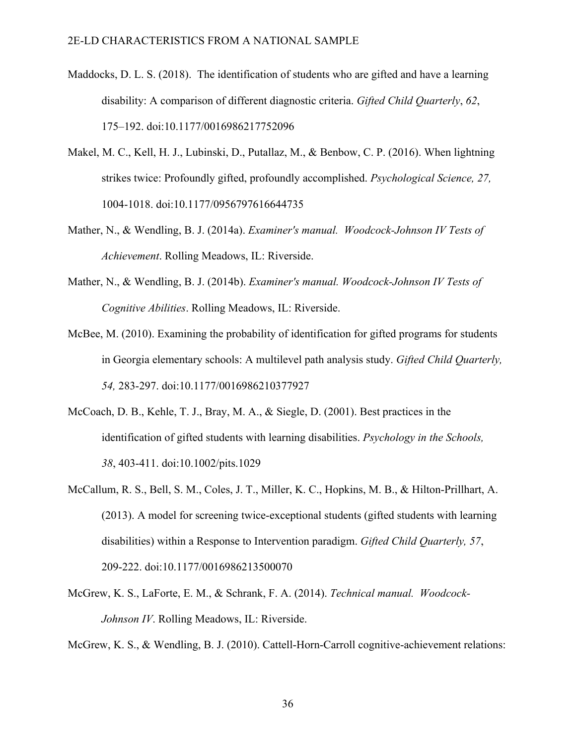- Maddocks, D. L. S. (2018). The identification of students who are gifted and have a learning disability: A comparison of different diagnostic criteria. *Gifted Child Quarterly*, *62*, 175–192. doi:10.1177/0016986217752096
- Makel, M. C., Kell, H. J., Lubinski, D., Putallaz, M., & Benbow, C. P. (2016). When lightning strikes twice: Profoundly gifted, profoundly accomplished. *Psychological Science, 27,*  1004-1018. doi:10.1177/0956797616644735
- Mather, N., & Wendling, B. J. (2014a). *Examiner's manual. Woodcock-Johnson IV Tests of Achievement*. Rolling Meadows, IL: Riverside.
- Mather, N., & Wendling, B. J. (2014b). *Examiner's manual. Woodcock-Johnson IV Tests of Cognitive Abilities*. Rolling Meadows, IL: Riverside.
- McBee, M. (2010). Examining the probability of identification for gifted programs for students in Georgia elementary schools: A multilevel path analysis study. *Gifted Child Quarterly, 54,* 283-297. doi:10.1177/0016986210377927
- McCoach, D. B., Kehle, T. J., Bray, M. A., & Siegle, D. (2001). Best practices in the identification of gifted students with learning disabilities. *Psychology in the Schools, 38*, 403-411. doi:10.1002/pits.1029
- McCallum, R. S., Bell, S. M., Coles, J. T., Miller, K. C., Hopkins, M. B., & Hilton-Prillhart, A. (2013). A model for screening twice-exceptional students (gifted students with learning disabilities) within a Response to Intervention paradigm. *Gifted Child Quarterly, 57*, 209-222. doi:10.1177/0016986213500070
- McGrew, K. S., LaForte, E. M., & Schrank, F. A. (2014). *Technical manual. Woodcock-Johnson IV*. Rolling Meadows, IL: Riverside.

McGrew, K. S., & Wendling, B. J. (2010). Cattell-Horn-Carroll cognitive-achievement relations: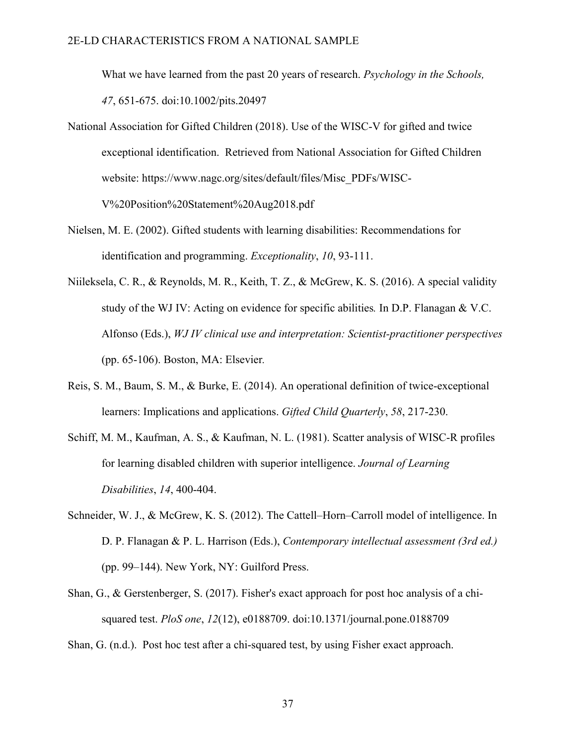What we have learned from the past 20 years of research. *Psychology in the Schools, 47*, 651-675. doi:10.1002/pits.20497

- National Association for Gifted Children (2018). Use of the WISC-V for gifted and twice exceptional identification. Retrieved from National Association for Gifted Children website: https://www.nagc.org/sites/default/files/Misc\_PDFs/WISC-V%20Position%20Statement%20Aug2018.pdf
- Nielsen, M. E. (2002). Gifted students with learning disabilities: Recommendations for identification and programming. *Exceptionality*, *10*, 93-111.
- Niileksela, C. R., & Reynolds, M. R., Keith, T. Z., & McGrew, K. S. (2016). A special validity study of the WJ IV: Acting on evidence for specific abilities*.* In D.P. Flanagan & V.C. Alfonso (Eds.), *WJ IV clinical use and interpretation: Scientist-practitioner perspectives* (pp. 65-106). Boston, MA: Elsevier*.*
- Reis, S. M., Baum, S. M., & Burke, E. (2014). An operational definition of twice-exceptional learners: Implications and applications. *Gifted Child Quarterly*, *58*, 217-230.
- Schiff, M. M., Kaufman, A. S., & Kaufman, N. L. (1981). Scatter analysis of WISC-R profiles for learning disabled children with superior intelligence. *Journal of Learning Disabilities*, *14*, 400-404.
- Schneider, W. J., & McGrew, K. S. (2012). The Cattell–Horn–Carroll model of intelligence. In D. P. Flanagan & P. L. Harrison (Eds.), *Contemporary intellectual assessment (3rd ed.)* (pp. 99–144). New York, NY: Guilford Press.
- Shan, G., & Gerstenberger, S. (2017). Fisher's exact approach for post hoc analysis of a chisquared test. *PloS one*, *12*(12), e0188709. doi:10.1371/journal.pone.0188709
- Shan, G. (n.d.). Post hoc test after a chi-squared test, by using Fisher exact approach.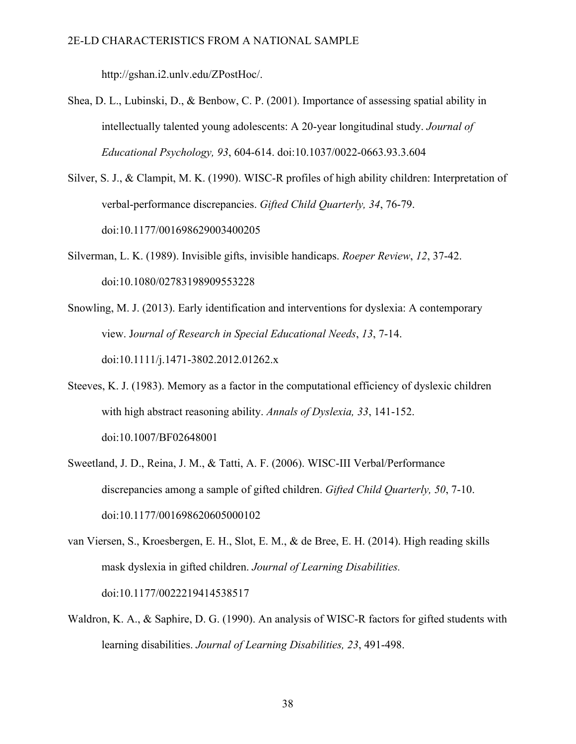http://gshan.i2.unlv.edu/ZPostHoc/.

- Shea, D. L., Lubinski, D., & Benbow, C. P. (2001). Importance of assessing spatial ability in intellectually talented young adolescents: A 20-year longitudinal study. *Journal of Educational Psychology, 93*, 604-614. doi:10.1037/0022-0663.93.3.604
- Silver, S. J., & Clampit, M. K. (1990). WISC-R profiles of high ability children: Interpretation of verbal-performance discrepancies. *Gifted Child Quarterly, 34*, 76-79. doi:10.1177/001698629003400205
- Silverman, L. K. (1989). Invisible gifts, invisible handicaps. *Roeper Review*, *12*, 37-42. doi:10.1080/02783198909553228
- Snowling, M. J. (2013). Early identification and interventions for dyslexia: A contemporary view. J*ournal of Research in Special Educational Needs*, *13*, 7-14. doi:10.1111/j.1471-3802.2012.01262.x
- Steeves, K. J. (1983). Memory as a factor in the computational efficiency of dyslexic children with high abstract reasoning ability. *Annals of Dyslexia, 33*, 141-152. doi:10.1007/BF02648001
- Sweetland, J. D., Reina, J. M., & Tatti, A. F. (2006). WISC-III Verbal/Performance discrepancies among a sample of gifted children. *Gifted Child Quarterly, 50*, 7-10. doi:10.1177/001698620605000102
- van Viersen, S., Kroesbergen, E. H., Slot, E. M., & de Bree, E. H. (2014). High reading skills mask dyslexia in gifted children. *Journal of Learning Disabilities.* doi:10.1177/0022219414538517
- Waldron, K. A., & Saphire, D. G. (1990). An analysis of WISC-R factors for gifted students with learning disabilities. *Journal of Learning Disabilities, 23*, 491-498.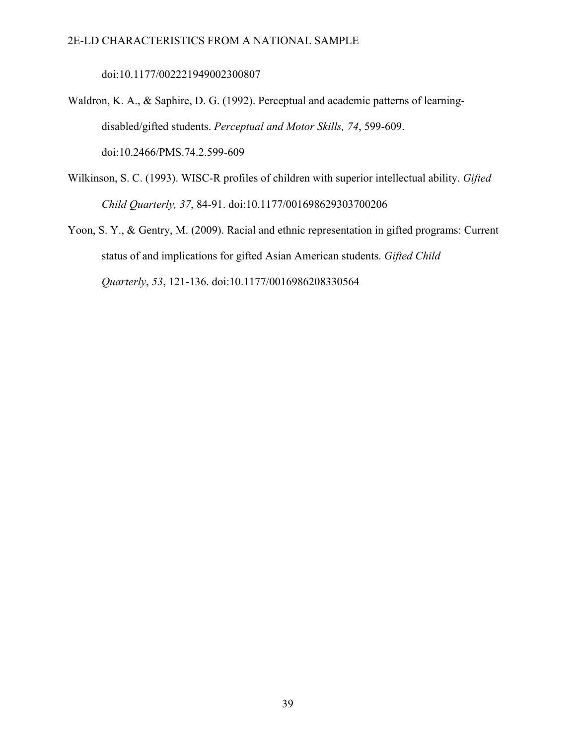doi:10.1177/002221949002300807

Waldron, K. A., & Saphire, D. G. (1992). Perceptual and academic patterns of learningdisabled/gifted students. *Perceptual and Motor Skills, 74*, 599-609. doi:10.2466/PMS.74.2.599-609

- Wilkinson, S. C. (1993). WISC-R profiles of children with superior intellectual ability. *Gifted Child Quarterly, 37*, 84-91. doi:10.1177/001698629303700206
- Yoon, S. Y., & Gentry, M. (2009). Racial and ethnic representation in gifted programs: Current status of and implications for gifted Asian American students. *Gifted Child Quarterly*, *53*, 121-136. doi:10.1177/0016986208330564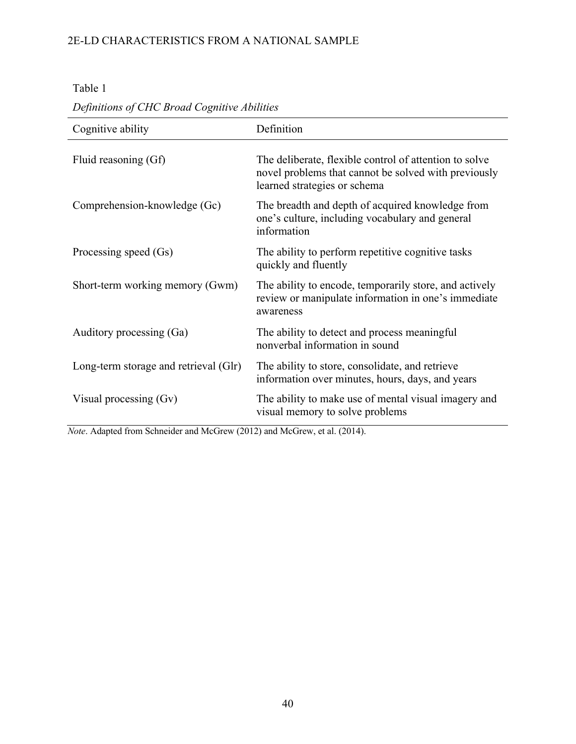Table 1

| Cognitive ability                     | Definition                                                                                                                                     |
|---------------------------------------|------------------------------------------------------------------------------------------------------------------------------------------------|
| Fluid reasoning (Gf)                  | The deliberate, flexible control of attention to solve<br>novel problems that cannot be solved with previously<br>learned strategies or schema |
| Comprehension-knowledge (Gc)          | The breadth and depth of acquired knowledge from<br>one's culture, including vocabulary and general<br>information                             |
| Processing speed (Gs)                 | The ability to perform repetitive cognitive tasks<br>quickly and fluently                                                                      |
| Short-term working memory (Gwm)       | The ability to encode, temporarily store, and actively<br>review or manipulate information in one's immediate<br>awareness                     |
| Auditory processing (Ga)              | The ability to detect and process meaningful<br>nonverbal information in sound                                                                 |
| Long-term storage and retrieval (Glr) | The ability to store, consolidate, and retrieve<br>information over minutes, hours, days, and years                                            |
| Visual processing $(Gv)$              | The ability to make use of mental visual imagery and<br>visual memory to solve problems                                                        |

# *Definitions of CHC Broad Cognitive Abilities*

*Note*. Adapted from Schneider and McGrew (2012) and McGrew, et al. (2014).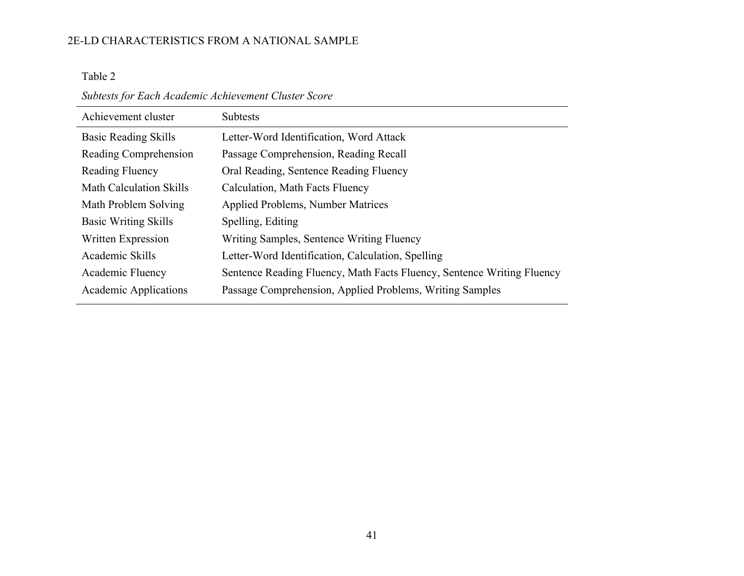Table 2

*Subtests for Each Academic Achievement Cluster Score*

| Achievement cluster         | <b>Subtests</b>                                                        |
|-----------------------------|------------------------------------------------------------------------|
| <b>Basic Reading Skills</b> | Letter-Word Identification, Word Attack                                |
| Reading Comprehension       | Passage Comprehension, Reading Recall                                  |
| Reading Fluency             | Oral Reading, Sentence Reading Fluency                                 |
| Math Calculation Skills     | Calculation, Math Facts Fluency                                        |
| Math Problem Solving        | <b>Applied Problems, Number Matrices</b>                               |
| <b>Basic Writing Skills</b> | Spelling, Editing                                                      |
| Written Expression          | Writing Samples, Sentence Writing Fluency                              |
| Academic Skills             | Letter-Word Identification, Calculation, Spelling                      |
| Academic Fluency            | Sentence Reading Fluency, Math Facts Fluency, Sentence Writing Fluency |
| Academic Applications       | Passage Comprehension, Applied Problems, Writing Samples               |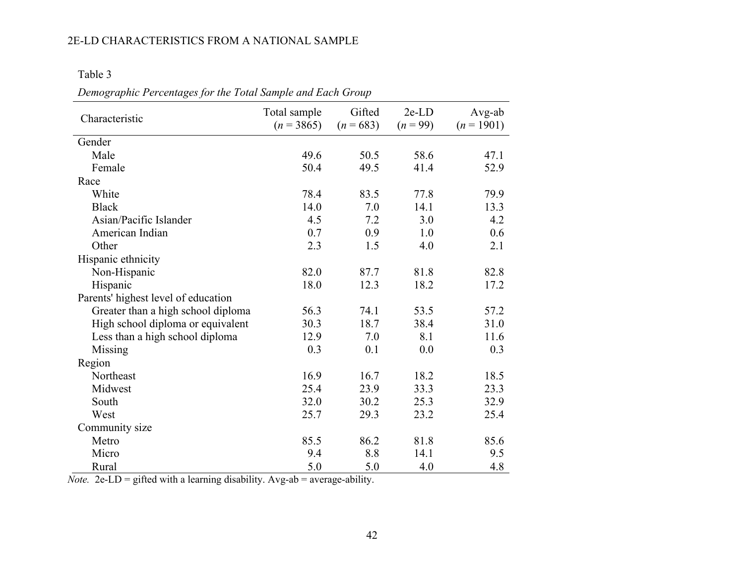Table 3

| Characteristic                      | Total sample<br>$(n = 3865)$ | Gifted<br>$(n = 683)$ | $2e$ - $LD$<br>$(n = 99)$ | Avg-ab<br>$(n = 1901)$ |
|-------------------------------------|------------------------------|-----------------------|---------------------------|------------------------|
| Gender                              |                              |                       |                           |                        |
| Male                                | 49.6                         | 50.5                  | 58.6                      | 47.1                   |
| Female                              | 50.4                         | 49.5                  | 41.4                      | 52.9                   |
| Race                                |                              |                       |                           |                        |
| White                               | 78.4                         | 83.5                  | 77.8                      | 79.9                   |
| <b>Black</b>                        | 14.0                         | 7.0                   | 14.1                      | 13.3                   |
| Asian/Pacific Islander              | 4.5                          | 7.2                   | 3.0                       | 4.2                    |
| American Indian                     | 0.7                          | 0.9                   | 1.0                       | 0.6                    |
| Other                               | 2.3                          | 1.5                   | 4.0                       | 2.1                    |
| Hispanic ethnicity                  |                              |                       |                           |                        |
| Non-Hispanic                        | 82.0                         | 87.7                  | 81.8                      | 82.8                   |
| Hispanic                            | 18.0                         | 12.3                  | 18.2                      | 17.2                   |
| Parents' highest level of education |                              |                       |                           |                        |
| Greater than a high school diploma  | 56.3                         | 74.1                  | 53.5                      | 57.2                   |
| High school diploma or equivalent   | 30.3                         | 18.7                  | 38.4                      | 31.0                   |
| Less than a high school diploma     | 12.9                         | 7.0                   | 8.1                       | 11.6                   |
| Missing                             | 0.3                          | 0.1                   | 0.0                       | 0.3                    |
| Region                              |                              |                       |                           |                        |
| Northeast                           | 16.9                         | 16.7                  | 18.2                      | 18.5                   |
| Midwest                             | 25.4                         | 23.9                  | 33.3                      | 23.3                   |
| South                               | 32.0                         | 30.2                  | 25.3                      | 32.9                   |
| West                                | 25.7                         | 29.3                  | 23.2                      | 25.4                   |
| Community size                      |                              |                       |                           |                        |
| Metro                               | 85.5                         | 86.2                  | 81.8                      | 85.6                   |
| Micro                               | 9.4                          | 8.8                   | 14.1                      | 9.5                    |
| Rural                               | 5.0                          | 5.0                   | 4.0                       | 4.8                    |

*Demographic Percentages for the Total Sample and Each Group*

*Note.* 2e-LD = gifted with a learning disability. Avg-ab = average-ability.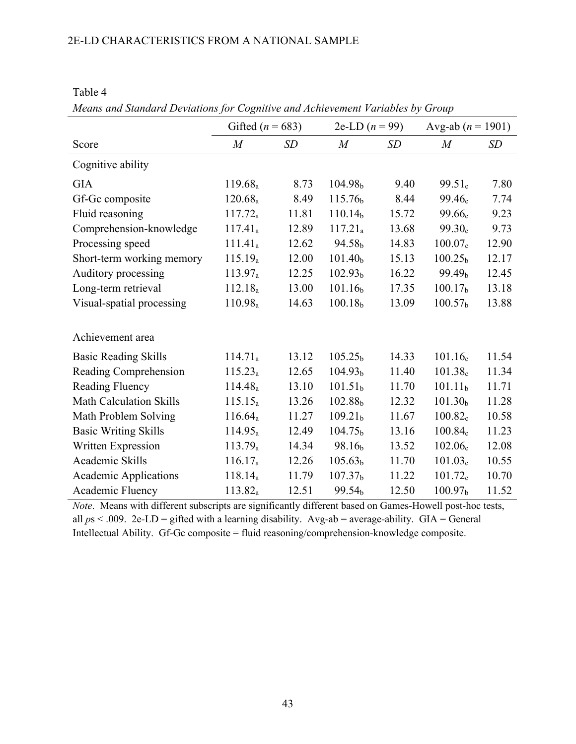|                              | Gifted ( $n = 683$ ) |       | 2e-LD $(n = 99)$    |           | Avg-ab $(n = 1901)$ |       |
|------------------------------|----------------------|-------|---------------------|-----------|---------------------|-------|
| Score                        | $\overline{M}$       | SD    | $\boldsymbol{M}$    | <b>SD</b> | $\overline{M}$      | SD    |
| Cognitive ability            |                      |       |                     |           |                     |       |
| <b>GIA</b>                   | 119.68 <sub>a</sub>  | 8.73  | 104.98 <sub>b</sub> | 9.40      | 99.51 <sub>c</sub>  | 7.80  |
| Gf-Gc composite              | 120.68 <sub>a</sub>  | 8.49  | 115.76 <sub>b</sub> | 8.44      | 99.46 <sub>c</sub>  | 7.74  |
| Fluid reasoning              | $117.72_a$           | 11.81 | 110.14 <sub>b</sub> | 15.72     | 99.66 <sub>c</sub>  | 9.23  |
| Comprehension-knowledge      | $117.41_a$           | 12.89 | 117.21 <sub>a</sub> | 13.68     | 99.30 <sub>c</sub>  | 9.73  |
| Processing speed             | 111.41 <sub>a</sub>  | 12.62 | 94.58 <sub>b</sub>  | 14.83     | 100.07 <sub>c</sub> | 12.90 |
| Short-term working memory    | 115.19 <sub>a</sub>  | 12.00 | 101.40 <sub>b</sub> | 15.13     | 100.25 <sub>b</sub> | 12.17 |
| Auditory processing          | 113.97 <sub>a</sub>  | 12.25 | 102.93 <sub>b</sub> | 16.22     | 99.49 <sub>b</sub>  | 12.45 |
| Long-term retrieval          | 112.18 <sub>a</sub>  | 13.00 | 101.16 <sub>b</sub> | 17.35     | 100.17 <sub>b</sub> | 13.18 |
| Visual-spatial processing    | 110.98 <sub>a</sub>  | 14.63 | 100.18 <sub>b</sub> | 13.09     | 100.57 <sub>b</sub> | 13.88 |
| Achievement area             |                      |       |                     |           |                     |       |
| <b>Basic Reading Skills</b>  | 114.71 <sub>a</sub>  | 13.12 | 105.25 <sub>b</sub> | 14.33     | 101.16 <sub>c</sub> | 11.54 |
| Reading Comprehension        | $115.23_a$           | 12.65 | 104.93 <sub>b</sub> | 11.40     | 101.38 <sub>c</sub> | 11.34 |
| Reading Fluency              | 114.48 <sub>a</sub>  | 13.10 | 101.51 <sub>b</sub> | 11.70     | 101.11 <sub>b</sub> | 11.71 |
| Math Calculation Skills      | $115.15_a$           | 13.26 | 102.88 <sub>b</sub> | 12.32     | 101.30 <sub>b</sub> | 11.28 |
| Math Problem Solving         | $116.64_a$           | 11.27 | 109.21 <sub>b</sub> | 11.67     | 100.82 <sub>c</sub> | 10.58 |
| <b>Basic Writing Skills</b>  | 114.95a              | 12.49 | 104.75 <sub>b</sub> | 13.16     | 100.84c             | 11.23 |
| Written Expression           | 113.79a              | 14.34 | 98.16 <sub>b</sub>  | 13.52     | 102.06 <sub>c</sub> | 12.08 |
| Academic Skills              | $116.17_a$           | 12.26 | 105.63 <sub>b</sub> | 11.70     | 101.03 <sub>c</sub> | 10.55 |
| <b>Academic Applications</b> | 118.14 <sub>a</sub>  | 11.79 | 107.37 <sub>b</sub> | 11.22     | $101.72_c$          | 10.70 |
| Academic Fluency             | 113.82a              | 12.51 | 99.54 <sub>b</sub>  | 12.50     | 100.97 <sub>b</sub> | 11.52 |

Table 4

*Means and Standard Deviations for Cognitive and Achievement Variables by Group*

*Note*. Means with different subscripts are significantly different based on Games-Howell post-hoc tests, all  $ps < .009$ . 2e-LD = gifted with a learning disability. Avg-ab = average-ability. GIA = General Intellectual Ability. Gf-Gc composite = fluid reasoning/comprehension-knowledge composite.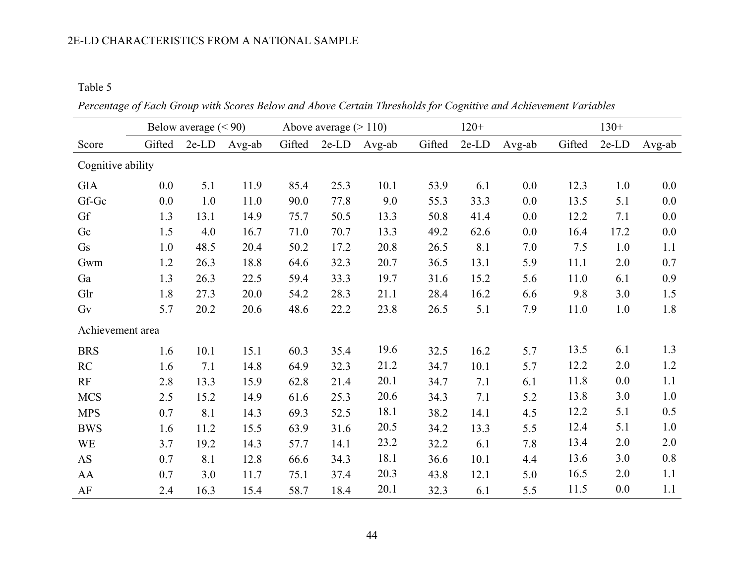Table 5

*Percentage of Each Group with Scores Below and Above Certain Thresholds for Cognitive and Achievement Variables*

|                   |        | Below average $(< 90)$ |        |        | Above average $(>110)$ |        |        | $120+$      |        |        | $130+$      |        |
|-------------------|--------|------------------------|--------|--------|------------------------|--------|--------|-------------|--------|--------|-------------|--------|
| Score             | Gifted | $2e$ - $LD$            | Avg-ab | Gifted | $2e$ - $LD$            | Avg-ab | Gifted | $2e$ - $LD$ | Avg-ab | Gifted | $2e$ - $LD$ | Avg-ab |
| Cognitive ability |        |                        |        |        |                        |        |        |             |        |        |             |        |
| <b>GIA</b>        | 0.0    | 5.1                    | 11.9   | 85.4   | 25.3                   | 10.1   | 53.9   | 6.1         | 0.0    | 12.3   | 1.0         | 0.0    |
| Gf-Gc             | 0.0    | 1.0                    | 11.0   | 90.0   | 77.8                   | 9.0    | 55.3   | 33.3        | 0.0    | 13.5   | 5.1         | 0.0    |
| Gf                | 1.3    | 13.1                   | 14.9   | 75.7   | 50.5                   | 13.3   | 50.8   | 41.4        | 0.0    | 12.2   | 7.1         | 0.0    |
| Gc                | 1.5    | 4.0                    | 16.7   | 71.0   | 70.7                   | 13.3   | 49.2   | 62.6        | 0.0    | 16.4   | 17.2        | 0.0    |
| Gs                | 1.0    | 48.5                   | 20.4   | 50.2   | 17.2                   | 20.8   | 26.5   | 8.1         | 7.0    | 7.5    | 1.0         | 1.1    |
| Gwm               | 1.2    | 26.3                   | 18.8   | 64.6   | 32.3                   | 20.7   | 36.5   | 13.1        | 5.9    | 11.1   | 2.0         | 0.7    |
| Ga                | 1.3    | 26.3                   | 22.5   | 59.4   | 33.3                   | 19.7   | 31.6   | 15.2        | 5.6    | 11.0   | 6.1         | 0.9    |
| Glr               | 1.8    | 27.3                   | 20.0   | 54.2   | 28.3                   | 21.1   | 28.4   | 16.2        | 6.6    | 9.8    | 3.0         | 1.5    |
| Gv                | 5.7    | 20.2                   | 20.6   | 48.6   | 22.2                   | 23.8   | 26.5   | 5.1         | 7.9    | 11.0   | 1.0         | 1.8    |
| Achievement area  |        |                        |        |        |                        |        |        |             |        |        |             |        |
| <b>BRS</b>        | 1.6    | 10.1                   | 15.1   | 60.3   | 35.4                   | 19.6   | 32.5   | 16.2        | 5.7    | 13.5   | 6.1         | 1.3    |
| RC                | 1.6    | 7.1                    | 14.8   | 64.9   | 32.3                   | 21.2   | 34.7   | 10.1        | 5.7    | 12.2   | 2.0         | 1.2    |
| RF                | 2.8    | 13.3                   | 15.9   | 62.8   | 21.4                   | 20.1   | 34.7   | 7.1         | 6.1    | 11.8   | 0.0         | 1.1    |
| <b>MCS</b>        | 2.5    | 15.2                   | 14.9   | 61.6   | 25.3                   | 20.6   | 34.3   | 7.1         | 5.2    | 13.8   | 3.0         | 1.0    |
| <b>MPS</b>        | 0.7    | 8.1                    | 14.3   | 69.3   | 52.5                   | 18.1   | 38.2   | 14.1        | 4.5    | 12.2   | 5.1         | 0.5    |
| <b>BWS</b>        | 1.6    | 11.2                   | 15.5   | 63.9   | 31.6                   | 20.5   | 34.2   | 13.3        | 5.5    | 12.4   | 5.1         | 1.0    |
| <b>WE</b>         | 3.7    | 19.2                   | 14.3   | 57.7   | 14.1                   | 23.2   | 32.2   | 6.1         | 7.8    | 13.4   | 2.0         | 2.0    |
| <b>AS</b>         | 0.7    | 8.1                    | 12.8   | 66.6   | 34.3                   | 18.1   | 36.6   | 10.1        | 4.4    | 13.6   | 3.0         | 0.8    |
| AA                | 0.7    | 3.0                    | 11.7   | 75.1   | 37.4                   | 20.3   | 43.8   | 12.1        | 5.0    | 16.5   | 2.0         | 1.1    |
| $\rm AF$          | 2.4    | 16.3                   | 15.4   | 58.7   | 18.4                   | 20.1   | 32.3   | 6.1         | 5.5    | 11.5   | 0.0         | 1.1    |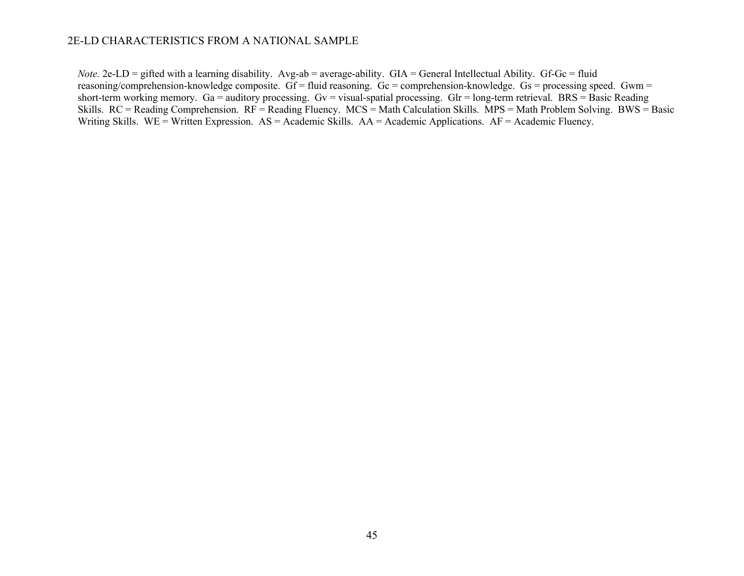*Note.* 2e-LD = gifted with a learning disability. Avg-ab = average-ability. GIA = General Intellectual Ability. Gf-Gc = fluid reasoning/comprehension-knowledge composite. Gf = fluid reasoning. Gc = comprehension-knowledge. Gs = processing speed. Gwm = short-term working memory. Ga = auditory processing. Gv = visual-spatial processing. Glr = long-term retrieval. BRS = Basic Reading Skills.  $RC = Reading$  Comprehension.  $RF = Reading$  Fluency.  $MCS = Math$  Calculation Skills.  $MPS = Math$  Problem Solving. BWS = Basic Writing Skills. WE = Written Expression. AS = Academic Skills. AA = Academic Applications. AF = Academic Fluency.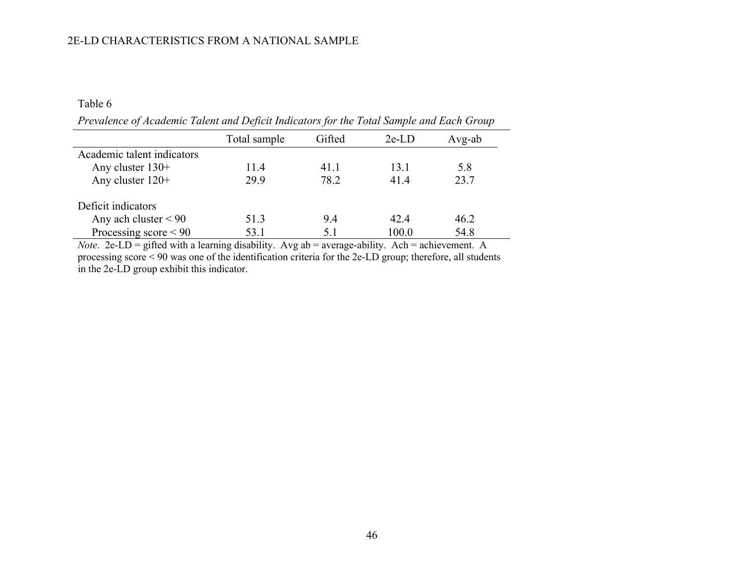Table 6

*Prevalence of Academic Talent and Deficit Indicators for the Total Sample and Each Group*

|                            | Total sample | Gifted | $2e$ -LD | Avg-ab |
|----------------------------|--------------|--------|----------|--------|
| Academic talent indicators |              |        |          |        |
| Any cluster $130+$         | 11.4         | 41.1   | 13.1     | 5.8    |
| Any cluster $120+$         | 29.9         | 78.2   | 41.4     | 23.7   |
| Deficit indicators         |              |        |          |        |
| Any ach cluster $< 90$     | 51.3         | 9.4    | 42.4     | 46.2   |
| Processing score $\leq 90$ | 53.1         | 5.1    | 100.0    | 54.8   |

*Note.* 2e-LD = gifted with a learning disability. Avg ab = average-ability. Ach = achievement. A processing score < 90 was one of the identification criteria for the 2e-LD group; therefore, all students in the 2e-LD group exhibit this indicator.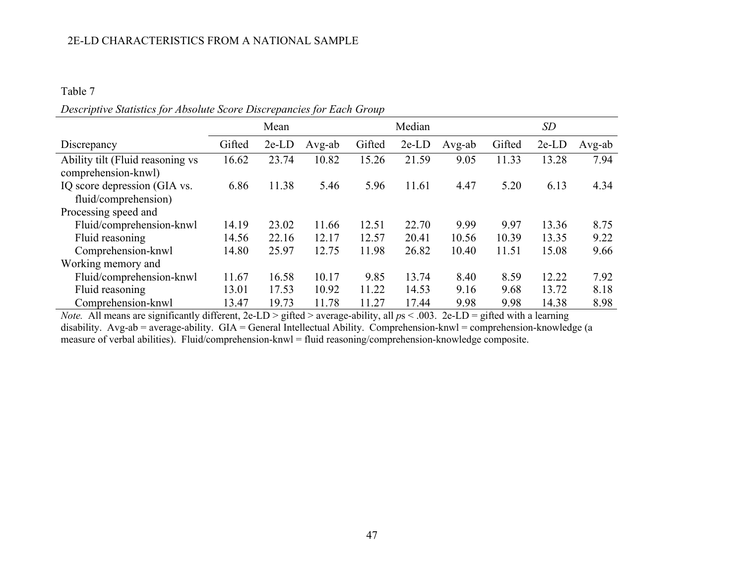## Table 7

| Descriptive Statistics for Absolute Score Discrepancies for Each Group |  |  |  |
|------------------------------------------------------------------------|--|--|--|
|------------------------------------------------------------------------|--|--|--|

|                                                         |        | Mean        |        |        | Median      |        |        | <b>SD</b>   |        |
|---------------------------------------------------------|--------|-------------|--------|--------|-------------|--------|--------|-------------|--------|
| Discrepancy                                             | Gifted | $2e$ - $LD$ | Avg-ab | Gifted | $2e$ - $LD$ | Avg-ab | Gifted | $2e$ - $LD$ | Avg-ab |
| Ability tilt (Fluid reasoning vs<br>comprehension-knwl) | 16.62  | 23.74       | 10.82  | 15.26  | 21.59       | 9.05   | 11.33  | 13.28       | 7.94   |
| IQ score depression (GIA vs.<br>fluid/comprehension)    | 6.86   | 11.38       | 5.46   | 5.96   | 11.61       | 4.47   | 5.20   | 6.13        | 4.34   |
| Processing speed and                                    |        |             |        |        |             |        |        |             |        |
| Fluid/comprehension-knwl                                | 14.19  | 23.02       | 11.66  | 12.51  | 22.70       | 9.99   | 9.97   | 13.36       | 8.75   |
| Fluid reasoning                                         | 14.56  | 22.16       | 12.17  | 12.57  | 20.41       | 10.56  | 10.39  | 13.35       | 9.22   |
| Comprehension-knwl                                      | 14.80  | 25.97       | 12.75  | 11.98  | 26.82       | 10.40  | 11.51  | 15.08       | 9.66   |
| Working memory and                                      |        |             |        |        |             |        |        |             |        |
| Fluid/comprehension-knwl                                | 11.67  | 16.58       | 10.17  | 9.85   | 13.74       | 8.40   | 8.59   | 12.22       | 7.92   |
| Fluid reasoning                                         | 13.01  | 17.53       | 10.92  | 11.22  | 14.53       | 9.16   | 9.68   | 13.72       | 8.18   |
| Comprehension-knwl                                      | 13.47  | 19.73       | 11.78  | 11.27  | 17.44       | 9.98   | 9.98   | 14.38       | 8.98   |

*Note.* All means are significantly different, 2e-LD > gifted > average-ability, all *p*s < .003. 2e-LD = gifted with a learning disability. Avg-ab = average-ability. GIA = General Intellectual Ability. Comprehension-knwl = comprehension-knowledge (a measure of verbal abilities). Fluid/comprehension-knwl = fluid reasoning/comprehension-knowledge composite.